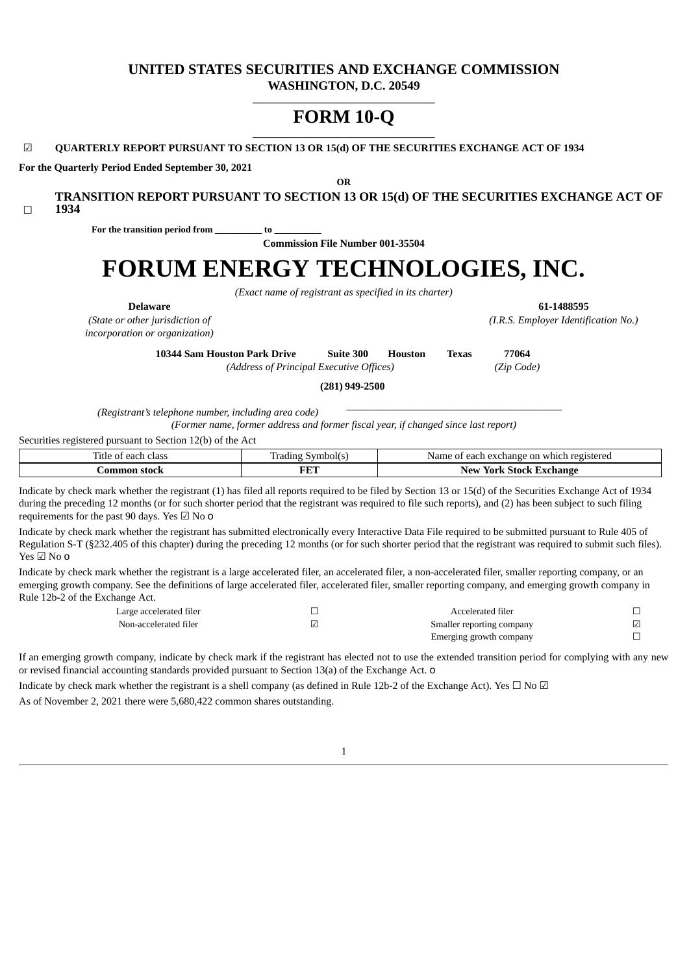# **UNITED STATES SECURITIES AND EXCHANGE COMMISSION WASHINGTON, D.C. 20549**

**\_\_\_\_\_\_\_\_\_\_\_\_\_\_\_\_\_\_\_\_\_\_\_\_\_\_\_\_\_\_\_\_\_\_\_**

# **FORM 10-Q \_\_\_\_\_\_\_\_\_\_\_\_\_\_\_\_\_\_\_\_\_\_\_\_\_\_\_\_\_\_\_\_\_\_\_**

**OR**

**TRANSITION REPORT PURSUANT TO SECTION 13 OR 15(d) OF THE SECURITIES EXCHANGE ACT OF**

☑ **QUARTERLY REPORT PURSUANT TO SECTION 13 OR 15(d) OF THE SECURITIES EXCHANGE ACT OF 1934**

**For the Quarterly Period Ended September 30, 2021**

| 1934<br>□                                                                                                                                                                                                                                                                                                                                                                                      |                                                                                    |                                |                                                    |
|------------------------------------------------------------------------------------------------------------------------------------------------------------------------------------------------------------------------------------------------------------------------------------------------------------------------------------------------------------------------------------------------|------------------------------------------------------------------------------------|--------------------------------|----------------------------------------------------|
| For the transition period from                                                                                                                                                                                                                                                                                                                                                                 | to<br><b>Commission File Number 001-35504</b>                                      |                                |                                                    |
|                                                                                                                                                                                                                                                                                                                                                                                                |                                                                                    |                                |                                                    |
| FORUM ENERGY TECHNOLOGIES, INC.                                                                                                                                                                                                                                                                                                                                                                |                                                                                    |                                |                                                    |
|                                                                                                                                                                                                                                                                                                                                                                                                | (Exact name of registrant as specified in its charter)                             |                                |                                                    |
| <b>Delaware</b><br>(State or other jurisdiction of<br>incorporation or organization)                                                                                                                                                                                                                                                                                                           |                                                                                    |                                | 61-1488595<br>(I.R.S. Employer Identification No.) |
| <b>10344 Sam Houston Park Drive</b>                                                                                                                                                                                                                                                                                                                                                            | <b>Suite 300</b><br>(Address of Principal Executive Offices)                       | <b>Houston</b><br><b>Texas</b> | 77064<br>(Zip Code)                                |
|                                                                                                                                                                                                                                                                                                                                                                                                | $(281)$ 949-2500                                                                   |                                |                                                    |
| (Registrant's telephone number, including area code)<br>Securities registered pursuant to Section 12(b) of the Act                                                                                                                                                                                                                                                                             | (Former name, former address and former fiscal year, if changed since last report) |                                |                                                    |
| Title of each class                                                                                                                                                                                                                                                                                                                                                                            | Trading Symbol(s)                                                                  |                                | Name of each exchange on which registered          |
| <b>Common stock</b>                                                                                                                                                                                                                                                                                                                                                                            | <b>FET</b>                                                                         |                                | <b>New York Stock Exchange</b>                     |
| Indicate by check mark whether the registrant (1) has filed all reports required to be filed by Section 13 or 15(d) of the Securities Exchange Act of 1934<br>during the preceding 12 months (or for such shorter period that the registrant was required to file such reports), and (2) has been subject to such filing<br>requirements for the past 90 days. Yes $\boxtimes$ No $\textsf{o}$ |                                                                                    |                                |                                                    |
| Indicate by check mark whether the registrant has submitted electronically every Interactive Data File required to be submitted pursuant to Rule 405 of<br>Regulation S-T (§232.405 of this chapter) during the preceding 12 months (or for such shorter period that the registrant was required to submit such files).<br>Yes ☑ No 0                                                          |                                                                                    |                                |                                                    |
| Indicate by check mark whether the registrant is a large accelerated filer, an accelerated filer, a non-accelerated filer, smaller reporting company, or an<br>emerging growth company. See the definitions of large accelerated filer, accelerated filer, smaller reporting company, and emerging growth company in<br>Rule 12b-2 of the Exchange Act.                                        |                                                                                    |                                |                                                    |

| Large accelerated filer | Accelerated filer         |  |
|-------------------------|---------------------------|--|
| Non-accelerated filer   | Smaller reporting company |  |
|                         | Emerging growth company   |  |

If an emerging growth company, indicate by check mark if the registrant has elected not to use the extended transition period for complying with any new or revised financial accounting standards provided pursuant to Section 13(a) of the Exchange Act. o

<span id="page-0-0"></span>Indicate by check mark whether the registrant is a shell company (as defined in Rule 12b-2 of the Exchange Act). Yes  $\Box$  No  $\Box$ As of November 2, 2021 there were 5,680,422 common shares outstanding.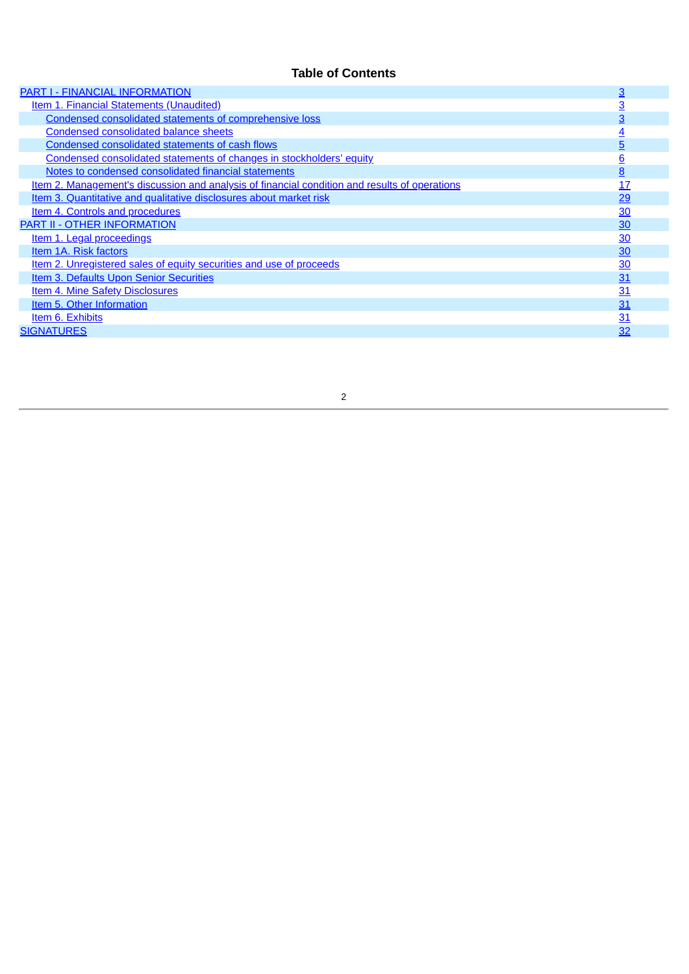# **Table of Contents**

<span id="page-1-0"></span>

| <b>PART I - FINANCIAL INFORMATION</b>                                                         | $\overline{3}$ |
|-----------------------------------------------------------------------------------------------|----------------|
| <b>Item 1. Financial Statements (Unaudited)</b>                                               | <u>3</u>       |
| Condensed consolidated statements of comprehensive loss                                       | 3              |
| <b>Condensed consolidated balance sheets</b>                                                  | <u>4</u>       |
| Condensed consolidated statements of cash flows                                               | $\overline{5}$ |
| Condensed consolidated statements of changes in stockholders' equity                          | <u>6</u>       |
| Notes to condensed consolidated financial statements                                          | 8              |
| Item 2. Management's discussion and analysis of financial condition and results of operations | 17             |
| Item 3. Quantitative and qualitative disclosures about market risk                            | 29             |
| Item 4. Controls and procedures                                                               | $\frac{30}{2}$ |
| <b>PART II - OTHER INFORMATION</b>                                                            | 30             |
| Item 1. Legal proceedings                                                                     | $\frac{30}{2}$ |
| Item 1A. Risk factors                                                                         | 30             |
| Item 2. Unregistered sales of equity securities and use of proceeds                           | 30             |
| <b>Item 3. Defaults Upon Senior Securities</b>                                                | 31             |
| <b>Item 4. Mine Safety Disclosures</b>                                                        | 31             |
| Item 5. Other Information                                                                     | 31             |
| Item 6. Exhibits                                                                              | 31             |
| <b>SIGNATURES</b>                                                                             | 32             |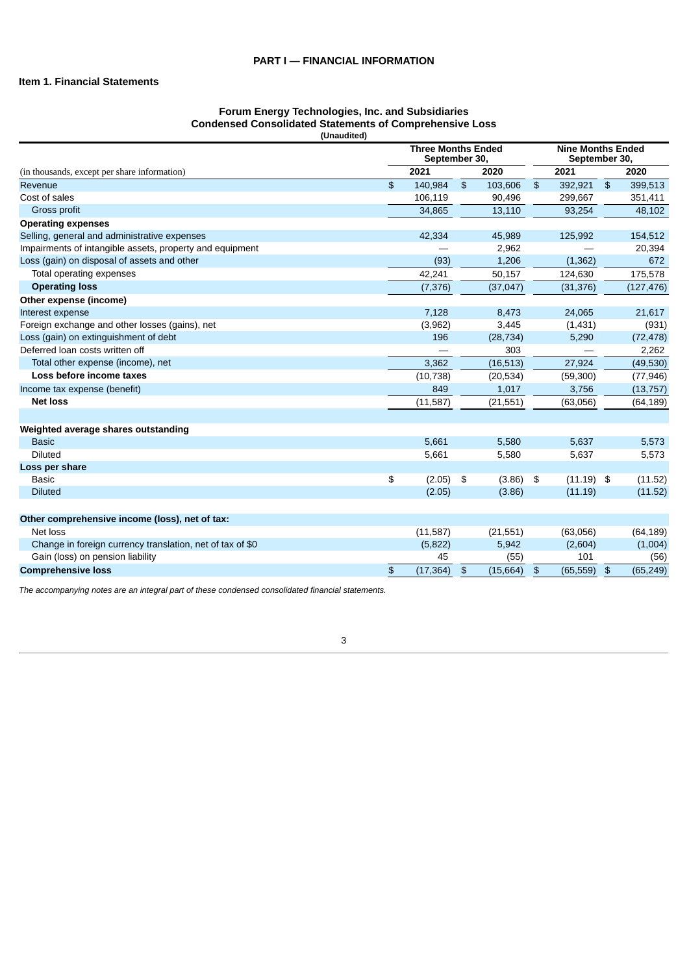### <span id="page-2-1"></span><span id="page-2-0"></span>**Item 1. Financial Statements**

#### **Forum Energy Technologies, Inc. and Subsidiaries Condensed Consolidated Statements of Comprehensive Loss (Unaudited)**

|                                                           |                | <b>Three Months Ended</b><br>September 30, |                |           | <b>Nine Months Ended</b><br>September 30, |               |               |            |
|-----------------------------------------------------------|----------------|--------------------------------------------|----------------|-----------|-------------------------------------------|---------------|---------------|------------|
| (in thousands, except per share information)              |                | 2021                                       | 2020           |           |                                           | 2021          |               | 2020       |
| Revenue                                                   | $\mathfrak{L}$ | 140.984                                    | $\mathfrak{D}$ | 103,606   | $\mathfrak{S}$                            | 392,921       | $\frac{3}{2}$ | 399,513    |
| Cost of sales                                             |                | 106,119                                    |                | 90,496    |                                           | 299,667       |               | 351,411    |
| Gross profit                                              |                | 34,865                                     |                | 13,110    |                                           | 93,254        |               | 48,102     |
| <b>Operating expenses</b>                                 |                |                                            |                |           |                                           |               |               |            |
| Selling, general and administrative expenses              |                | 42,334                                     |                | 45,989    |                                           | 125,992       |               | 154,512    |
| Impairments of intangible assets, property and equipment  |                |                                            |                | 2,962     |                                           |               |               | 20,394     |
| Loss (gain) on disposal of assets and other               |                | (93)                                       |                | 1,206     |                                           | (1, 362)      |               | 672        |
| Total operating expenses                                  |                | 42,241                                     |                | 50,157    |                                           | 124,630       |               | 175,578    |
| <b>Operating loss</b>                                     |                | (7, 376)                                   |                | (37, 047) |                                           | (31, 376)     |               | (127, 476) |
| Other expense (income)                                    |                |                                            |                |           |                                           |               |               |            |
| Interest expense                                          |                | 7,128                                      |                | 8,473     |                                           | 24,065        |               | 21,617     |
| Foreign exchange and other losses (gains), net            |                | (3,962)                                    |                | 3,445     |                                           | (1,431)       |               | (931)      |
| Loss (gain) on extinguishment of debt                     |                | 196                                        |                | (28, 734) |                                           | 5,290         |               | (72, 478)  |
| Deferred loan costs written off                           |                |                                            |                | 303       |                                           |               |               | 2,262      |
| Total other expense (income), net                         |                | 3,362                                      |                | (16, 513) |                                           | 27,924        |               | (49, 530)  |
| Loss before income taxes                                  |                | (10, 738)                                  |                | (20, 534) |                                           | (59, 300)     |               | (77, 946)  |
| Income tax expense (benefit)                              |                | 849                                        |                | 1,017     |                                           | 3,756         |               | (13, 757)  |
| <b>Net loss</b>                                           |                | (11, 587)                                  |                | (21, 551) |                                           | (63,056)      |               | (64, 189)  |
|                                                           |                |                                            |                |           |                                           |               |               |            |
| Weighted average shares outstanding                       |                |                                            |                |           |                                           |               |               |            |
| <b>Basic</b>                                              |                | 5,661                                      |                | 5,580     |                                           | 5,637         |               | 5,573      |
| <b>Diluted</b>                                            |                | 5,661                                      |                | 5,580     |                                           | 5,637         |               | 5,573      |
| Loss per share                                            |                |                                            |                |           |                                           |               |               |            |
| <b>Basic</b>                                              | \$             | (2.05)                                     | \$             | (3.86)    | \$                                        | $(11.19)$ \$  |               | (11.52)    |
| <b>Diluted</b>                                            |                | (2.05)                                     |                | (3.86)    |                                           | (11.19)       |               | (11.52)    |
|                                                           |                |                                            |                |           |                                           |               |               |            |
| Other comprehensive income (loss), net of tax:            |                |                                            |                |           |                                           |               |               |            |
| Net loss                                                  |                | (11, 587)                                  |                | (21, 551) |                                           | (63,056)      |               | (64, 189)  |
| Change in foreign currency translation, net of tax of \$0 |                | (5,822)                                    |                | 5,942     |                                           | (2,604)       |               | (1,004)    |
| Gain (loss) on pension liability                          |                | 45                                         |                | (55)      |                                           | 101           |               | (56)       |
| <b>Comprehensive loss</b>                                 | \$             | (17, 364)                                  | \$             | (15,664)  | $\frac{3}{2}$                             | $(65,559)$ \$ |               | (65, 249)  |

<span id="page-2-2"></span>*The accompanying notes are an integral part of these condensed consolidated financial statements.*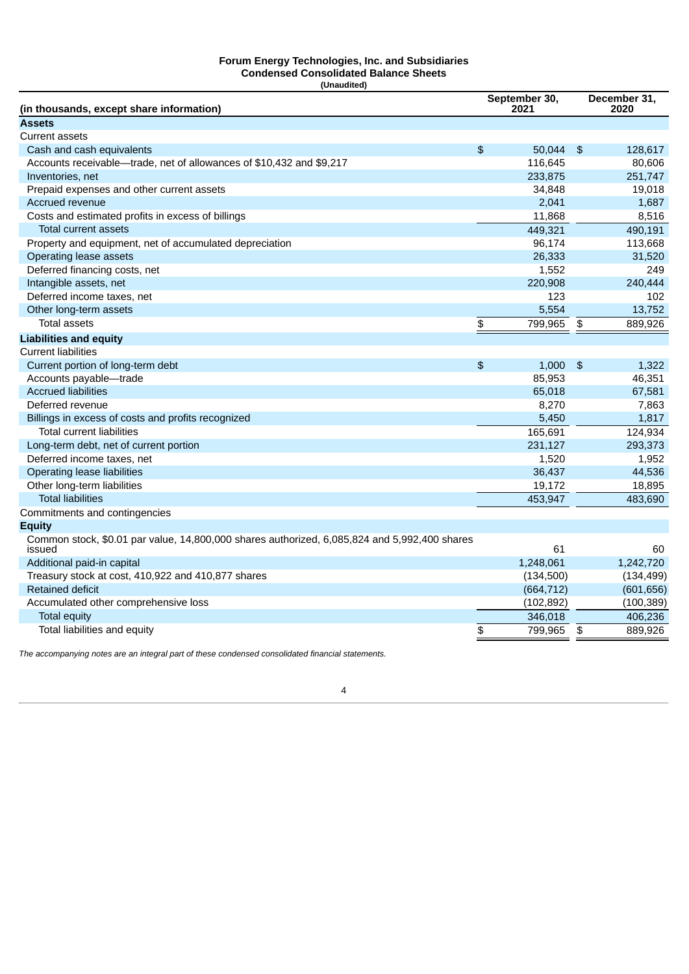#### **Forum Energy Technologies, Inc. and Subsidiaries Condensed Consolidated Balance Sheets (Unaudited)**

| (in thousands, except share information)                                                               |               | September 30,<br>2021 | December 31,<br>2020 |            |  |
|--------------------------------------------------------------------------------------------------------|---------------|-----------------------|----------------------|------------|--|
| <b>Assets</b>                                                                                          |               |                       |                      |            |  |
| Current assets                                                                                         |               |                       |                      |            |  |
| Cash and cash equivalents                                                                              | $\frac{2}{3}$ | 50,044                | \$                   | 128,617    |  |
| Accounts receivable-trade, net of allowances of \$10,432 and \$9,217                                   |               | 116,645               |                      | 80,606     |  |
| Inventories, net                                                                                       |               | 233,875               |                      | 251,747    |  |
| Prepaid expenses and other current assets                                                              |               | 34,848                |                      | 19,018     |  |
| Accrued revenue                                                                                        |               | 2,041                 |                      | 1,687      |  |
| Costs and estimated profits in excess of billings                                                      |               | 11,868                |                      | 8,516      |  |
| <b>Total current assets</b>                                                                            |               | 449,321               |                      | 490,191    |  |
| Property and equipment, net of accumulated depreciation                                                |               | 96,174                |                      | 113,668    |  |
| Operating lease assets                                                                                 |               | 26,333                |                      | 31,520     |  |
| Deferred financing costs, net                                                                          |               | 1,552                 |                      | 249        |  |
| Intangible assets, net                                                                                 |               | 220,908               |                      | 240,444    |  |
| Deferred income taxes, net                                                                             |               | 123                   |                      | 102        |  |
| Other long-term assets                                                                                 |               | 5,554                 |                      | 13,752     |  |
| <b>Total assets</b>                                                                                    | \$            | 799,965               | $\frac{1}{2}$        | 889,926    |  |
| <b>Liabilities and equity</b>                                                                          |               |                       |                      |            |  |
| <b>Current liabilities</b>                                                                             |               |                       |                      |            |  |
| Current portion of long-term debt                                                                      | $\frac{2}{3}$ | 1,000                 | $\frac{1}{2}$        | 1,322      |  |
| Accounts payable-trade                                                                                 |               | 85,953                |                      | 46,351     |  |
| <b>Accrued liabilities</b>                                                                             |               | 65,018                |                      | 67,581     |  |
| Deferred revenue                                                                                       |               | 8,270                 |                      | 7,863      |  |
| Billings in excess of costs and profits recognized                                                     |               | 5,450                 |                      | 1,817      |  |
| <b>Total current liabilities</b>                                                                       |               | 165,691               |                      | 124,934    |  |
| Long-term debt, net of current portion                                                                 |               | 231,127               |                      | 293,373    |  |
| Deferred income taxes, net                                                                             |               | 1,520                 |                      | 1,952      |  |
| Operating lease liabilities                                                                            |               | 36,437                |                      | 44,536     |  |
| Other long-term liabilities                                                                            |               | 19,172                |                      | 18,895     |  |
| <b>Total liabilities</b>                                                                               |               | 453,947               |                      | 483,690    |  |
| Commitments and contingencies                                                                          |               |                       |                      |            |  |
| Equity                                                                                                 |               |                       |                      |            |  |
| Common stock, \$0.01 par value, 14,800,000 shares authorized, 6,085,824 and 5,992,400 shares<br>issued |               | 61                    |                      | 60         |  |
| Additional paid-in capital                                                                             |               | 1,248,061             |                      | 1,242,720  |  |
| Treasury stock at cost, 410,922 and 410,877 shares                                                     |               | (134,500)             |                      | (134, 499) |  |
| <b>Retained deficit</b>                                                                                |               | (664, 712)            |                      | (601, 656) |  |
| Accumulated other comprehensive loss                                                                   |               | (102, 892)            |                      | (100, 389) |  |
| <b>Total equity</b>                                                                                    |               | 346,018               |                      | 406,236    |  |
| Total liabilities and equity                                                                           | \$            | 799,965               | \$                   | 889,926    |  |

<span id="page-3-0"></span>*The accompanying notes are an integral part of these condensed consolidated financial statements.*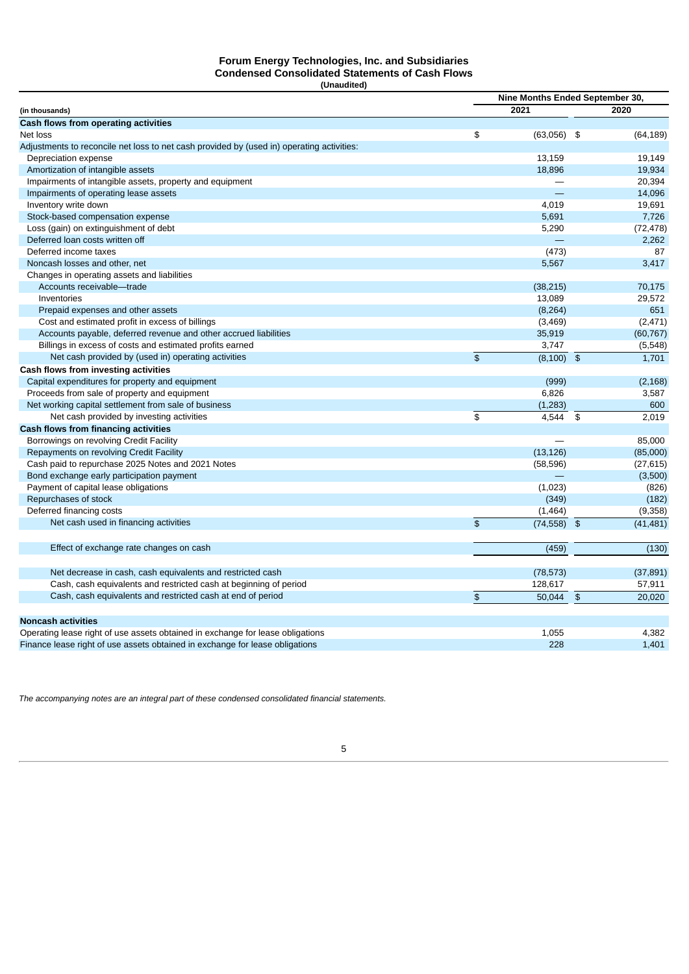#### **Forum Energy Technologies, Inc. and Subsidiaries Condensed Consolidated Statements of Cash Flows (Unaudited)**

|                                                                                           |                | Nine Months Ended September 30, |               |           |  |  |  |
|-------------------------------------------------------------------------------------------|----------------|---------------------------------|---------------|-----------|--|--|--|
| (in thousands)                                                                            |                | 2021                            |               | 2020      |  |  |  |
| Cash flows from operating activities                                                      |                |                                 |               |           |  |  |  |
| Net loss                                                                                  | \$             | $(63,056)$ \$                   |               | (64, 189) |  |  |  |
| Adjustments to reconcile net loss to net cash provided by (used in) operating activities: |                |                                 |               |           |  |  |  |
| Depreciation expense                                                                      |                | 13,159                          |               | 19,149    |  |  |  |
| Amortization of intangible assets                                                         |                | 18,896                          |               | 19,934    |  |  |  |
| Impairments of intangible assets, property and equipment                                  |                |                                 |               | 20.394    |  |  |  |
| Impairments of operating lease assets                                                     |                |                                 |               | 14,096    |  |  |  |
| Inventory write down                                                                      |                | 4,019                           |               | 19,691    |  |  |  |
| Stock-based compensation expense                                                          |                | 5,691                           |               | 7,726     |  |  |  |
| Loss (gain) on extinguishment of debt                                                     |                | 5,290                           |               | (72, 478) |  |  |  |
| Deferred loan costs written off                                                           |                |                                 |               | 2,262     |  |  |  |
| Deferred income taxes                                                                     |                | (473)                           |               | 87        |  |  |  |
| Noncash losses and other, net                                                             |                | 5,567                           |               | 3,417     |  |  |  |
| Changes in operating assets and liabilities                                               |                |                                 |               |           |  |  |  |
| Accounts receivable-trade                                                                 |                | (38, 215)                       |               | 70,175    |  |  |  |
| Inventories                                                                               |                | 13,089                          |               | 29,572    |  |  |  |
| Prepaid expenses and other assets                                                         |                | (8, 264)                        |               | 651       |  |  |  |
| Cost and estimated profit in excess of billings                                           |                | (3,469)                         |               | (2, 471)  |  |  |  |
| Accounts payable, deferred revenue and other accrued liabilities                          |                | 35,919                          |               | (60, 767) |  |  |  |
| Billings in excess of costs and estimated profits earned                                  |                | 3,747                           |               | (5,548)   |  |  |  |
| Net cash provided by (used in) operating activities                                       | $\mathfrak{D}$ | $(8,100)$ \$                    |               | 1,701     |  |  |  |
| Cash flows from investing activities                                                      |                |                                 |               |           |  |  |  |
| Capital expenditures for property and equipment                                           |                | (999)                           |               | (2, 168)  |  |  |  |
| Proceeds from sale of property and equipment                                              |                | 6,826                           |               | 3,587     |  |  |  |
| Net working capital settlement from sale of business                                      |                | (1,283)                         |               | 600       |  |  |  |
| Net cash provided by investing activities                                                 | \$             | 4,544                           | $\frac{2}{3}$ | 2,019     |  |  |  |
| Cash flows from financing activities                                                      |                |                                 |               |           |  |  |  |
| Borrowings on revolving Credit Facility                                                   |                |                                 |               | 85,000    |  |  |  |
| Repayments on revolving Credit Facility                                                   |                | (13, 126)                       |               | (85,000)  |  |  |  |
| Cash paid to repurchase 2025 Notes and 2021 Notes                                         |                | (58, 596)                       |               | (27, 615) |  |  |  |
| Bond exchange early participation payment                                                 |                |                                 |               | (3,500)   |  |  |  |
| Payment of capital lease obligations                                                      |                | (1,023)                         |               | (826)     |  |  |  |
| Repurchases of stock                                                                      |                | (349)                           |               | (182)     |  |  |  |
| Deferred financing costs                                                                  |                | (1,464)                         |               | (9,358)   |  |  |  |
| Net cash used in financing activities                                                     | $\mathfrak{S}$ | (74, 558)                       | \$            | (41, 481) |  |  |  |
| Effect of exchange rate changes on cash                                                   |                | (459)                           |               | (130)     |  |  |  |
| Net decrease in cash, cash equivalents and restricted cash                                |                | (78, 573)                       |               | (37, 891) |  |  |  |
| Cash, cash equivalents and restricted cash at beginning of period                         |                | 128,617                         |               | 57,911    |  |  |  |
| Cash, cash equivalents and restricted cash at end of period                               | $\frac{1}{2}$  | 50,044                          | \$            | 20,020    |  |  |  |
| <b>Noncash activities</b>                                                                 |                |                                 |               |           |  |  |  |
| Operating lease right of use assets obtained in exchange for lease obligations            |                | 1,055                           |               | 4,382     |  |  |  |
| Finance lease right of use assets obtained in exchange for lease obligations              |                | 228                             |               | 1,401     |  |  |  |

<span id="page-4-0"></span>*The accompanying notes are an integral part of these condensed consolidated financial statements.*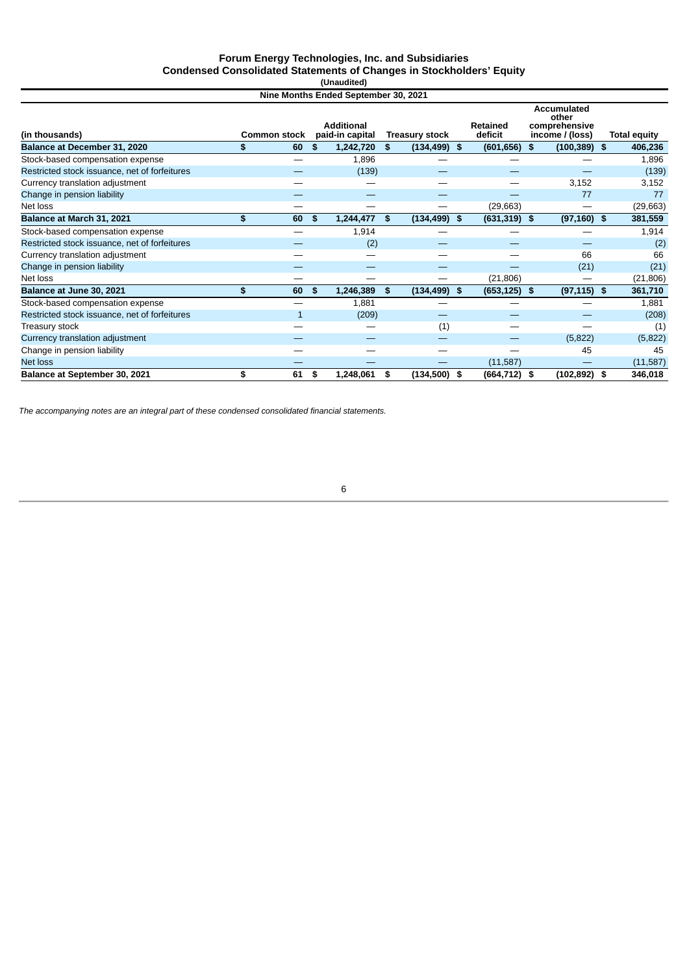#### **Forum Energy Technologies, Inc. and Subsidiaries Condensed Consolidated Statements of Changes in Stockholders' Equity (Unaudited)**

**Nine Months Ended September 30, 2021**

|                                               |                     | $1.1110$ months Engog opptomber ov, EVER |                       |                            |                                                                 |     |                     |
|-----------------------------------------------|---------------------|------------------------------------------|-----------------------|----------------------------|-----------------------------------------------------------------|-----|---------------------|
| (in thousands)                                | <b>Common stock</b> | <b>Additional</b><br>paid-in capital     | <b>Treasury stock</b> | <b>Retained</b><br>deficit | <b>Accumulated</b><br>other<br>comprehensive<br>income / (loss) |     | <b>Total equity</b> |
| Balance at December 31, 2020                  | \$<br>60            | \$<br>1,242,720                          | \$<br>$(134, 499)$ \$ | (601, 656)                 | \$<br>$(100, 389)$ \$                                           |     | 406,236             |
| Stock-based compensation expense              |                     | 1,896                                    |                       |                            |                                                                 |     | 1,896               |
| Restricted stock issuance, net of forfeitures |                     | (139)                                    |                       |                            |                                                                 |     | (139)               |
| Currency translation adjustment               |                     |                                          |                       |                            | 3,152                                                           |     | 3,152               |
| Change in pension liability                   |                     |                                          |                       |                            | 77                                                              |     | 77                  |
| Net loss                                      |                     |                                          |                       | (29, 663)                  |                                                                 |     | (29, 663)           |
| Balance at March 31, 2021                     | \$<br>60            | \$<br>1,244,477                          | \$<br>$(134, 499)$ \$ | (631, 319)                 | \$<br>$(97, 160)$ \$                                            |     | 381,559             |
| Stock-based compensation expense              |                     | 1,914                                    |                       |                            |                                                                 |     | 1,914               |
| Restricted stock issuance, net of forfeitures |                     | (2)                                      |                       |                            |                                                                 |     | (2)                 |
| Currency translation adjustment               |                     |                                          |                       |                            | 66                                                              |     | 66                  |
| Change in pension liability                   |                     |                                          |                       |                            | (21)                                                            |     | (21)                |
| Net loss                                      |                     |                                          |                       | (21, 806)                  |                                                                 |     | (21, 806)           |
| Balance at June 30, 2021                      | \$<br>60            | \$<br>1,246,389                          | \$<br>$(134, 499)$ \$ | (653, 125)                 | \$<br>(97, 115)                                                 | -\$ | 361,710             |
| Stock-based compensation expense              |                     | 1,881                                    |                       |                            |                                                                 |     | 1,881               |
| Restricted stock issuance, net of forfeitures |                     | (209)                                    |                       |                            |                                                                 |     | (208)               |
| Treasury stock                                |                     |                                          | (1)                   |                            |                                                                 |     | (1)                 |
| Currency translation adjustment               |                     |                                          |                       |                            | (5,822)                                                         |     | (5,822)             |
| Change in pension liability                   |                     |                                          |                       |                            | 45                                                              |     | 45                  |
| Net loss                                      |                     |                                          |                       | (11, 587)                  |                                                                 |     | (11, 587)           |
| Balance at September 30, 2021                 | \$<br>61            | \$<br>1,248,061                          | \$<br>$(134,500)$ \$  | (664, 712)                 | \$<br>$(102, 892)$ \$                                           |     | 346,018             |

*The accompanying notes are an integral part of these condensed consolidated financial statements.*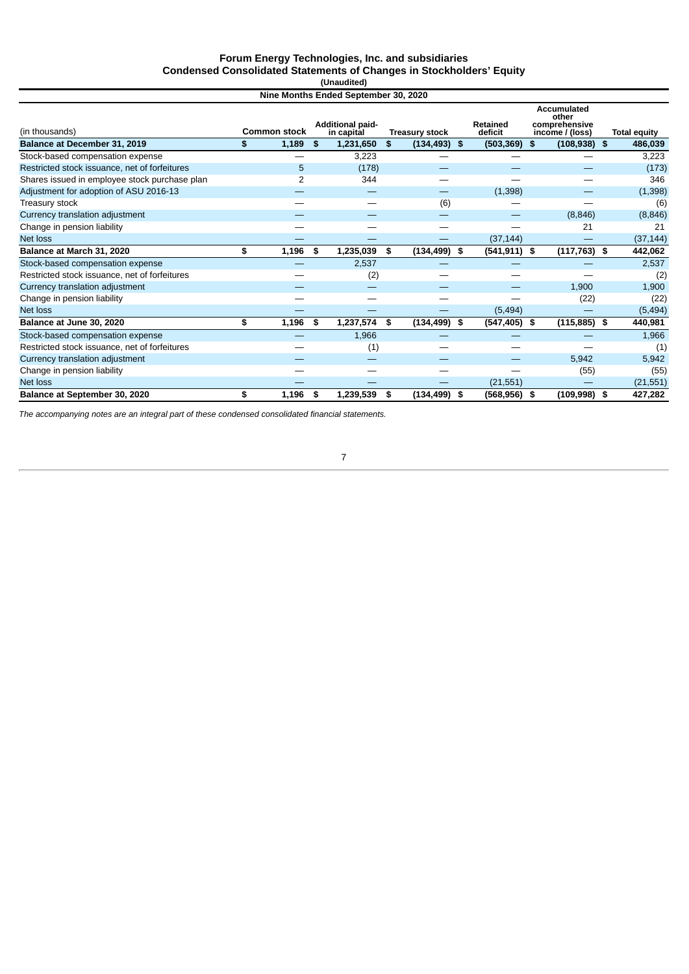#### **Forum Energy Technologies, Inc. and subsidiaries Condensed Consolidated Statements of Changes in Stockholders' Equity (Unaudited)**

|                                               |                     | Nine Months Ended September 30, 2020 |                       |      |                 |                                              |                     |
|-----------------------------------------------|---------------------|--------------------------------------|-----------------------|------|-----------------|----------------------------------------------|---------------------|
|                                               |                     | <b>Additional paid-</b>              |                       |      | Retained        | <b>Accumulated</b><br>other<br>comprehensive |                     |
| (in thousands)                                | <b>Common stock</b> | in capital                           | <b>Treasury stock</b> |      | deficit         | income / (loss)                              | <b>Total equity</b> |
| Balance at December 31, 2019                  | \$<br>1,189         | \$<br>1,231,650                      | \$<br>$(134, 493)$ \$ |      | (503, 369)      | \$<br>$(108, 938)$ \$                        | 486,039             |
| Stock-based compensation expense              |                     | 3,223                                |                       |      |                 |                                              | 3,223               |
| Restricted stock issuance, net of forfeitures | 5                   | (178)                                |                       |      |                 |                                              | (173)               |
| Shares issued in employee stock purchase plan | 2                   | 344                                  |                       |      |                 |                                              | 346                 |
| Adjustment for adoption of ASU 2016-13        |                     |                                      |                       |      | (1, 398)        |                                              | (1, 398)            |
| <b>Treasury stock</b>                         |                     |                                      | (6)                   |      |                 |                                              | (6)                 |
| Currency translation adjustment               |                     |                                      |                       |      |                 | (8, 846)                                     | (8, 846)            |
| Change in pension liability                   |                     |                                      |                       |      | -               | 21                                           | 21                  |
| Net loss                                      |                     |                                      |                       |      | (37, 144)       |                                              | (37, 144)           |
| Balance at March 31, 2020                     | \$<br>1,196         | \$<br>1,235,039                      | \$<br>(134, 499)      | - \$ | (541, 911)      | \$<br>$(117,763)$ \$                         | 442,062             |
| Stock-based compensation expense              |                     | 2,537                                |                       |      |                 |                                              | 2,537               |
| Restricted stock issuance, net of forfeitures |                     | (2)                                  |                       |      |                 |                                              | (2)                 |
| Currency translation adjustment               |                     |                                      |                       |      |                 | 1,900                                        | 1,900               |
| Change in pension liability                   |                     |                                      |                       |      |                 | (22)                                         | (22)                |
| Net loss                                      |                     | –                                    |                       |      | (5, 494)        |                                              | (5, 494)            |
| Balance at June 30, 2020                      | \$<br>1,196         | \$<br>1,237,574                      | \$<br>(134, 499)      | - \$ | $(547, 405)$ \$ | $(115, 885)$ \$                              | 440,981             |
| Stock-based compensation expense              |                     | 1,966                                |                       |      |                 |                                              | 1,966               |
| Restricted stock issuance, net of forfeitures |                     | (1)                                  |                       |      |                 |                                              | (1)                 |
| Currency translation adjustment               |                     |                                      |                       |      |                 | 5,942                                        | 5,942               |
| Change in pension liability                   |                     |                                      |                       |      |                 | (55)                                         | (55)                |
| Net loss                                      |                     |                                      |                       |      | (21, 551)       |                                              | (21, 551)           |
| Balance at September 30, 2020                 | \$<br>1,196         | \$<br>1,239,539                      | \$<br>(134, 499)      | - \$ | (568, 956)      | \$<br>$(109, 998)$ \$                        | 427,282             |

<span id="page-6-0"></span>*The accompanying notes are an integral part of these condensed consolidated financial statements.*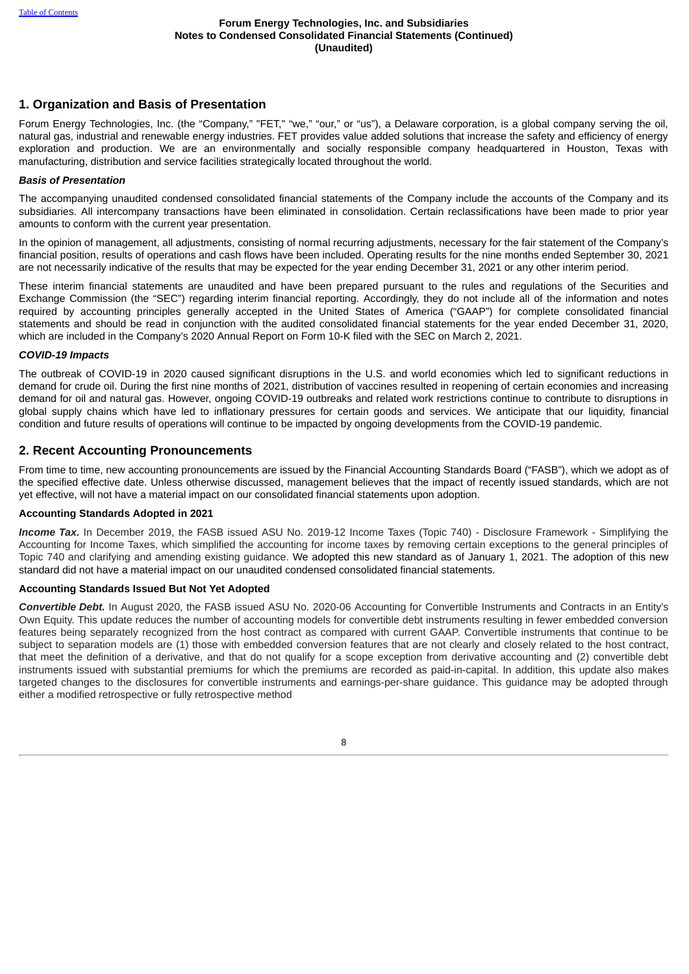### **1. Organization and Basis of Presentation**

Forum Energy Technologies, Inc. (the "Company," "FET," "we," "our," or "us"), a Delaware corporation, is a global company serving the oil, natural gas, industrial and renewable energy industries. FET provides value added solutions that increase the safety and efficiency of energy exploration and production. We are an environmentally and socially responsible company headquartered in Houston, Texas with manufacturing, distribution and service facilities strategically located throughout the world.

### *Basis of Presentation*

The accompanying unaudited condensed consolidated financial statements of the Company include the accounts of the Company and its subsidiaries. All intercompany transactions have been eliminated in consolidation. Certain reclassifications have been made to prior year amounts to conform with the current year presentation.

In the opinion of management, all adjustments, consisting of normal recurring adjustments, necessary for the fair statement of the Company's financial position, results of operations and cash flows have been included. Operating results for the nine months ended September 30, 2021 are not necessarily indicative of the results that may be expected for the year ending December 31, 2021 or any other interim period.

These interim financial statements are unaudited and have been prepared pursuant to the rules and regulations of the Securities and Exchange Commission (the "SEC") regarding interim financial reporting. Accordingly, they do not include all of the information and notes required by accounting principles generally accepted in the United States of America ("GAAP") for complete consolidated financial statements and should be read in conjunction with the audited consolidated financial statements for the year ended December 31, 2020, which are included in the Company's 2020 Annual Report on Form 10-K filed with the SEC on March 2, 2021.

### *COVID-19 Impacts*

The outbreak of COVID-19 in 2020 caused significant disruptions in the U.S. and world economies which led to significant reductions in demand for crude oil. During the first nine months of 2021, distribution of vaccines resulted in reopening of certain economies and increasing demand for oil and natural gas. However, ongoing COVID-19 outbreaks and related work restrictions continue to contribute to disruptions in global supply chains which have led to inflationary pressures for certain goods and services. We anticipate that our liquidity, financial condition and future results of operations will continue to be impacted by ongoing developments from the COVID-19 pandemic.

### **2. Recent Accounting Pronouncements**

From time to time, new accounting pronouncements are issued by the Financial Accounting Standards Board ("FASB"), which we adopt as of the specified effective date. Unless otherwise discussed, management believes that the impact of recently issued standards, which are not yet effective, will not have a material impact on our consolidated financial statements upon adoption.

### **Accounting Standards Adopted in 2021**

*Income Tax.* In December 2019, the FASB issued ASU No. 2019-12 Income Taxes (Topic 740) - Disclosure Framework - Simplifying the Accounting for Income Taxes, which simplified the accounting for income taxes by removing certain exceptions to the general principles of Topic 740 and clarifying and amending existing guidance. We adopted this new standard as of January 1, 2021. The adoption of this new standard did not have a material impact on our unaudited condensed consolidated financial statements.

### **Accounting Standards Issued But Not Yet Adopted**

*Convertible Debt.* In August 2020, the FASB issued ASU No. 2020-06 Accounting for Convertible Instruments and Contracts in an Entity's Own Equity. This update reduces the number of accounting models for convertible debt instruments resulting in fewer embedded conversion features being separately recognized from the host contract as compared with current GAAP. Convertible instruments that continue to be subject to separation models are (1) those with embedded conversion features that are not clearly and closely related to the host contract, that meet the definition of a derivative, and that do not qualify for a scope exception from derivative accounting and (2) convertible debt instruments issued with substantial premiums for which the premiums are recorded as paid-in-capital. In addition, this update also makes targeted changes to the disclosures for convertible instruments and earnings-per-share guidance. This guidance may be adopted through either a modified retrospective or fully retrospective method

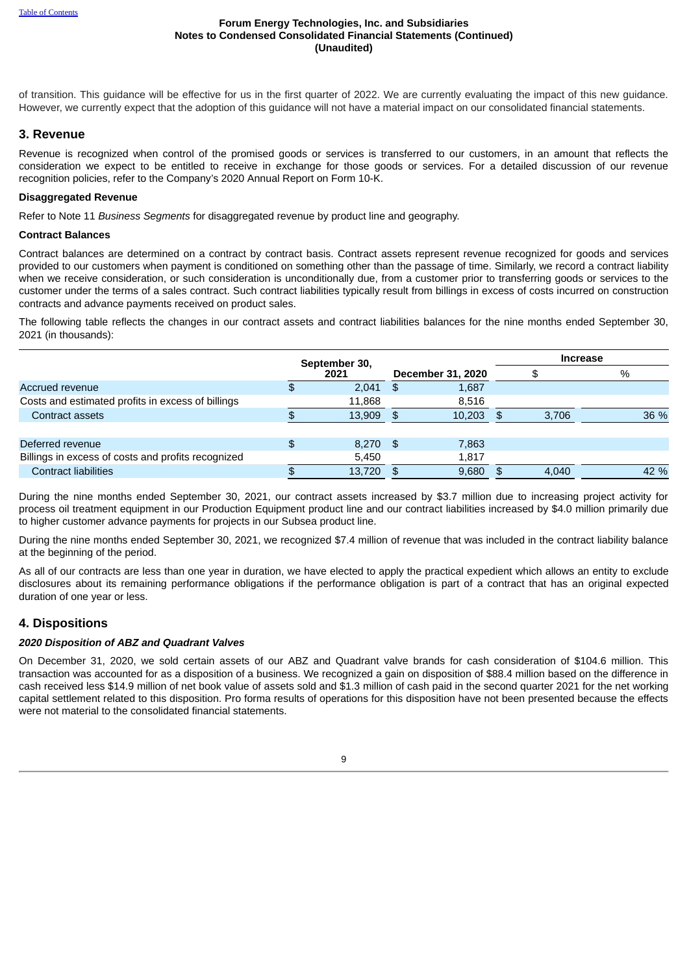of transition. This guidance will be effective for us in the first quarter of 2022. We are currently evaluating the impact of this new guidance. However, we currently expect that the adoption of this guidance will not have a material impact on our consolidated financial statements.

### **3. Revenue**

Revenue is recognized when control of the promised goods or services is transferred to our customers, in an amount that reflects the consideration we expect to be entitled to receive in exchange for those goods or services. For a detailed discussion of our revenue recognition policies, refer to the Company's 2020 Annual Report on Form 10-K.

### **Disaggregated Revenue**

Refer to Note 11 *Business Segments* for disaggregated revenue by product line and geography.

#### **Contract Balances**

Contract balances are determined on a contract by contract basis. Contract assets represent revenue recognized for goods and services provided to our customers when payment is conditioned on something other than the passage of time. Similarly, we record a contract liability when we receive consideration, or such consideration is unconditionally due, from a customer prior to transferring goods or services to the customer under the terms of a sales contract. Such contract liabilities typically result from billings in excess of costs incurred on construction contracts and advance payments received on product sales.

The following table reflects the changes in our contract assets and contract liabilities balances for the nine months ended September 30, 2021 (in thousands):

|                                                    | September 30,    |      |                   |     | <b>Increase</b> |      |  |  |
|----------------------------------------------------|------------------|------|-------------------|-----|-----------------|------|--|--|
|                                                    | 2021             |      | December 31, 2020 |     |                 | $\%$ |  |  |
| Accrued revenue                                    | 2,041            | - \$ | 1,687             |     |                 |      |  |  |
| Costs and estimated profits in excess of billings  | 11,868           |      | 8,516             |     |                 |      |  |  |
| Contract assets                                    | 13.909           | - SS | 10,203            | \$. | 3.706           | 36 % |  |  |
|                                                    |                  |      |                   |     |                 |      |  |  |
| Deferred revenue                                   | \$<br>$8,270$ \$ |      | 7,863             |     |                 |      |  |  |
| Billings in excess of costs and profits recognized | 5,450            |      | 1,817             |     |                 |      |  |  |
| <b>Contract liabilities</b>                        | 13,720           | \$.  | 9,680             | \$  | 4.040           | 42 % |  |  |

During the nine months ended September 30, 2021, our contract assets increased by \$3.7 million due to increasing project activity for process oil treatment equipment in our Production Equipment product line and our contract liabilities increased by \$4.0 million primarily due to higher customer advance payments for projects in our Subsea product line.

During the nine months ended September 30, 2021, we recognized \$7.4 million of revenue that was included in the contract liability balance at the beginning of the period.

As all of our contracts are less than one year in duration, we have elected to apply the practical expedient which allows an entity to exclude disclosures about its remaining performance obligations if the performance obligation is part of a contract that has an original expected duration of one year or less.

# **4. Dispositions**

### *2020 Disposition of ABZ and Quadrant Valves*

On December 31, 2020, we sold certain assets of our ABZ and Quadrant valve brands for cash consideration of \$104.6 million. This transaction was accounted for as a disposition of a business. We recognized a gain on disposition of \$88.4 million based on the difference in cash received less \$14.9 million of net book value of assets sold and \$1.3 million of cash paid in the second quarter 2021 for the net working capital settlement related to this disposition. Pro forma results of operations for this disposition have not been presented because the effects were not material to the consolidated financial statements.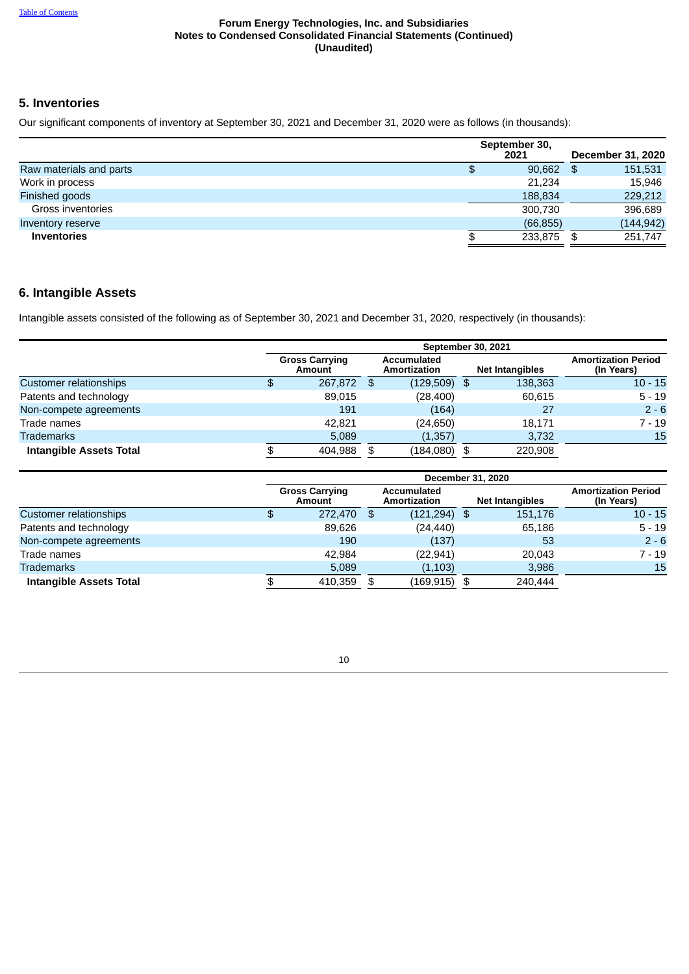# **5. Inventories**

Our significant components of inventory at September 30, 2021 and December 31, 2020 were as follows (in thousands):

|                         |    | September 30,<br>2021 | <b>December 31, 2020</b> |
|-------------------------|----|-----------------------|--------------------------|
| Raw materials and parts | \$ | 90,662                | \$<br>151,531            |
| Work in process         |    | 21.234                | 15,946                   |
| Finished goods          |    | 188,834               | 229,212                  |
| Gross inventories       |    | 300,730               | 396,689                  |
| Inventory reserve       |    | (66, 855)             | (144, 942)               |
| <b>Inventories</b>      | ൳  | 233,875               | 251,747                  |
|                         |    |                       |                          |

# **6. Intangible Assets**

Intangible assets consisted of the following as of September 30, 2021 and December 31, 2020, respectively (in thousands):

|                                | September 30, 2021              |      |                                           |    |                        |                                          |  |  |  |  |
|--------------------------------|---------------------------------|------|-------------------------------------------|----|------------------------|------------------------------------------|--|--|--|--|
|                                | <b>Gross Carrying</b><br>Amount |      | <b>Accumulated</b><br><b>Amortization</b> |    | <b>Net Intangibles</b> | <b>Amortization Period</b><br>(In Years) |  |  |  |  |
| <b>Customer relationships</b>  | \$<br>267,872                   | - \$ | $(129,509)$ \$                            |    | 138,363                | $10 - 15$                                |  |  |  |  |
| Patents and technology         | 89.015                          |      | (28, 400)                                 |    | 60,615                 | $5 - 19$                                 |  |  |  |  |
| Non-compete agreements         | 191                             |      | (164)                                     |    | 27                     | $2 - 6$                                  |  |  |  |  |
| Trade names                    | 42.821                          |      | (24, 650)                                 |    | 18.171                 | 7 - 19                                   |  |  |  |  |
| <b>Trademarks</b>              | 5.089                           |      | (1, 357)                                  |    | 3.732                  | 15                                       |  |  |  |  |
| <b>Intangible Assets Total</b> | 404,988                         | £.   | (184,080)                                 | \$ | 220,908                |                                          |  |  |  |  |

|                                | December 31, 2020               |      |                                    |      |                        |                                          |  |  |  |  |
|--------------------------------|---------------------------------|------|------------------------------------|------|------------------------|------------------------------------------|--|--|--|--|
|                                | <b>Gross Carrying</b><br>Amount |      | <b>Accumulated</b><br>Amortization |      | <b>Net Intangibles</b> | <b>Amortization Period</b><br>(In Years) |  |  |  |  |
| Customer relationships         | \$<br>272,470                   | - \$ | $(121, 294)$ \$                    |      | 151.176                | $10 - 15$                                |  |  |  |  |
| Patents and technology         | 89.626                          |      | (24, 440)                          |      | 65.186                 | $5 - 19$                                 |  |  |  |  |
| Non-compete agreements         | 190                             |      | (137)                              |      | 53                     | $2 - 6$                                  |  |  |  |  |
| Trade names                    | 42.984                          |      | (22, 941)                          |      | 20.043                 | 7 - 19                                   |  |  |  |  |
| <b>Trademarks</b>              | 5,089                           |      | (1, 103)                           |      | 3,986                  | 15                                       |  |  |  |  |
| <b>Intangible Assets Total</b> | 410,359                         | \$   | (169, 915)                         | - \$ | 240,444                |                                          |  |  |  |  |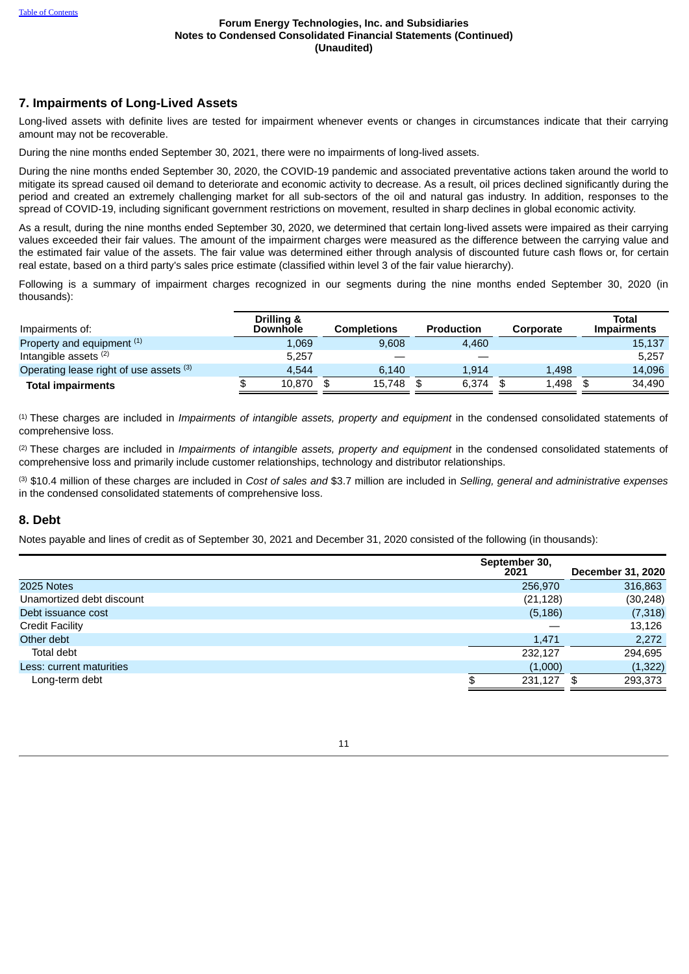### **7. Impairments of Long-Lived Assets**

Long-lived assets with definite lives are tested for impairment whenever events or changes in circumstances indicate that their carrying amount may not be recoverable.

During the nine months ended September 30, 2021, there were no impairments of long-lived assets.

During the nine months ended September 30, 2020, the COVID-19 pandemic and associated preventative actions taken around the world to mitigate its spread caused oil demand to deteriorate and economic activity to decrease. As a result, oil prices declined significantly during the period and created an extremely challenging market for all sub-sectors of the oil and natural gas industry. In addition, responses to the spread of COVID-19, including significant government restrictions on movement, resulted in sharp declines in global economic activity.

As a result, during the nine months ended September 30, 2020, we determined that certain long-lived assets were impaired as their carrying values exceeded their fair values. The amount of the impairment charges were measured as the difference between the carrying value and the estimated fair value of the assets. The fair value was determined either through analysis of discounted future cash flows or, for certain real estate, based on a third party's sales price estimate (classified within level 3 of the fair value hierarchy).

Following is a summary of impairment charges recognized in our segments during the nine months ended September 30, 2020 (in thousands):

| Impairments of:                         | Drilling &<br><b>Downhole</b> | <b>Completions</b> | <b>Production</b> | Corporate     | <b>Total</b><br><b>Impairments</b> |
|-----------------------------------------|-------------------------------|--------------------|-------------------|---------------|------------------------------------|
| Property and equipment <sup>(1)</sup>   | 1,069                         | 9.608              | 4.460             |               | 15,137                             |
| Intangible assets (2)                   | 5.257                         |                    |                   |               | 5.257                              |
| Operating lease right of use assets (3) | 4.544                         | 6.140              | 1.914             | 1.498         | 14,096                             |
| <b>Total impairments</b>                | 10.870                        | 15.748             | 6.374             | 1.498<br>- \$ | \$<br>34.490                       |
|                                         |                               |                    |                   |               |                                    |

These charges are included in *Impairments of intangible assets, property and equipment* in the condensed consolidated statements of (1) comprehensive loss.

These charges are included in *Impairments of intangible assets, property and equipment* in the condensed consolidated statements of (2) comprehensive loss and primarily include customer relationships, technology and distributor relationships.

\$10.4 million of these charges are included in *Cost of sales and* \$3.7 million are included in *Selling, general and administrative expenses* (3) in the condensed consolidated statements of comprehensive loss.

# **8. Debt**

Notes payable and lines of credit as of September 30, 2021 and December 31, 2020 consisted of the following (in thousands):

|                           | September 30,<br>2021 | <b>December 31, 2020</b> |
|---------------------------|-----------------------|--------------------------|
| 2025 Notes                | 256,970               | 316,863                  |
| Unamortized debt discount | (21, 128)             | (30, 248)                |
| Debt issuance cost        | (5, 186)              | (7, 318)                 |
| <b>Credit Facility</b>    |                       | 13,126                   |
| Other debt                | 1,471                 | 2,272                    |
| Total debt                | 232.127               | 294.695                  |
| Less: current maturities  | (1,000)               | (1, 322)                 |
| Long-term debt            | 231,127<br>\$         | 293,373<br>\$.           |
|                           |                       |                          |

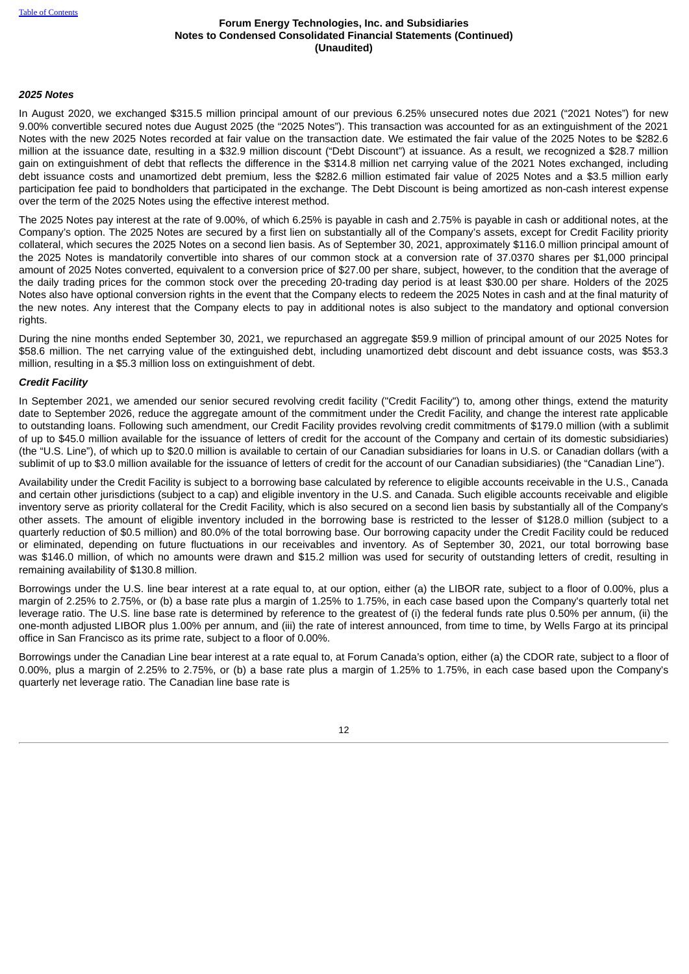### *2025 Notes*

In August 2020, we exchanged \$315.5 million principal amount of our previous 6.25% unsecured notes due 2021 ("2021 Notes") for new 9.00% convertible secured notes due August 2025 (the "2025 Notes"). This transaction was accounted for as an extinguishment of the 2021 Notes with the new 2025 Notes recorded at fair value on the transaction date. We estimated the fair value of the 2025 Notes to be \$282.6 million at the issuance date, resulting in a \$32.9 million discount ("Debt Discount") at issuance. As a result, we recognized a \$28.7 million gain on extinguishment of debt that reflects the difference in the \$314.8 million net carrying value of the 2021 Notes exchanged, including debt issuance costs and unamortized debt premium, less the \$282.6 million estimated fair value of 2025 Notes and a \$3.5 million early participation fee paid to bondholders that participated in the exchange. The Debt Discount is being amortized as non-cash interest expense over the term of the 2025 Notes using the effective interest method.

The 2025 Notes pay interest at the rate of 9.00%, of which 6.25% is payable in cash and 2.75% is payable in cash or additional notes, at the Company's option. The 2025 Notes are secured by a first lien on substantially all of the Company's assets, except for Credit Facility priority collateral, which secures the 2025 Notes on a second lien basis. As of September 30, 2021, approximately \$116.0 million principal amount of the 2025 Notes is mandatorily convertible into shares of our common stock at a conversion rate of 37.0370 shares per \$1,000 principal amount of 2025 Notes converted, equivalent to a conversion price of \$27.00 per share, subject, however, to the condition that the average of the daily trading prices for the common stock over the preceding 20-trading day period is at least \$30.00 per share. Holders of the 2025 Notes also have optional conversion rights in the event that the Company elects to redeem the 2025 Notes in cash and at the final maturity of the new notes. Any interest that the Company elects to pay in additional notes is also subject to the mandatory and optional conversion rights.

During the nine months ended September 30, 2021, we repurchased an aggregate \$59.9 million of principal amount of our 2025 Notes for \$58.6 million. The net carrying value of the extinguished debt, including unamortized debt discount and debt issuance costs, was \$53.3 million, resulting in a \$5.3 million loss on extinguishment of debt.

#### *Credit Facility*

In September 2021, we amended our senior secured revolving credit facility ("Credit Facility") to, among other things, extend the maturity date to September 2026, reduce the aggregate amount of the commitment under the Credit Facility, and change the interest rate applicable to outstanding loans. Following such amendment, our Credit Facility provides revolving credit commitments of \$179.0 million (with a sublimit of up to \$45.0 million available for the issuance of letters of credit for the account of the Company and certain of its domestic subsidiaries) (the "U.S. Line"), of which up to \$20.0 million is available to certain of our Canadian subsidiaries for loans in U.S. or Canadian dollars (with a sublimit of up to \$3.0 million available for the issuance of letters of credit for the account of our Canadian subsidiaries) (the "Canadian Line").

Availability under the Credit Facility is subject to a borrowing base calculated by reference to eligible accounts receivable in the U.S., Canada and certain other jurisdictions (subject to a cap) and eligible inventory in the U.S. and Canada. Such eligible accounts receivable and eligible inventory serve as priority collateral for the Credit Facility, which is also secured on a second lien basis by substantially all of the Company's other assets. The amount of eligible inventory included in the borrowing base is restricted to the lesser of \$128.0 million (subject to a quarterly reduction of \$0.5 million) and 80.0% of the total borrowing base. Our borrowing capacity under the Credit Facility could be reduced or eliminated, depending on future fluctuations in our receivables and inventory. As of September 30, 2021, our total borrowing base was \$146.0 million, of which no amounts were drawn and \$15.2 million was used for security of outstanding letters of credit, resulting in remaining availability of \$130.8 million.

Borrowings under the U.S. line bear interest at a rate equal to, at our option, either (a) the LIBOR rate, subject to a floor of 0.00%, plus a margin of 2.25% to 2.75%, or (b) a base rate plus a margin of 1.25% to 1.75%, in each case based upon the Company's quarterly total net leverage ratio. The U.S. line base rate is determined by reference to the greatest of (i) the federal funds rate plus 0.50% per annum, (ii) the one-month adjusted LIBOR plus 1.00% per annum, and (iii) the rate of interest announced, from time to time, by Wells Fargo at its principal office in San Francisco as its prime rate, subject to a floor of 0.00%.

Borrowings under the Canadian Line bear interest at a rate equal to, at Forum Canada's option, either (a) the CDOR rate, subject to a floor of 0.00%, plus a margin of 2.25% to 2.75%, or (b) a base rate plus a margin of 1.25% to 1.75%, in each case based upon the Company's quarterly net leverage ratio. The Canadian line base rate is

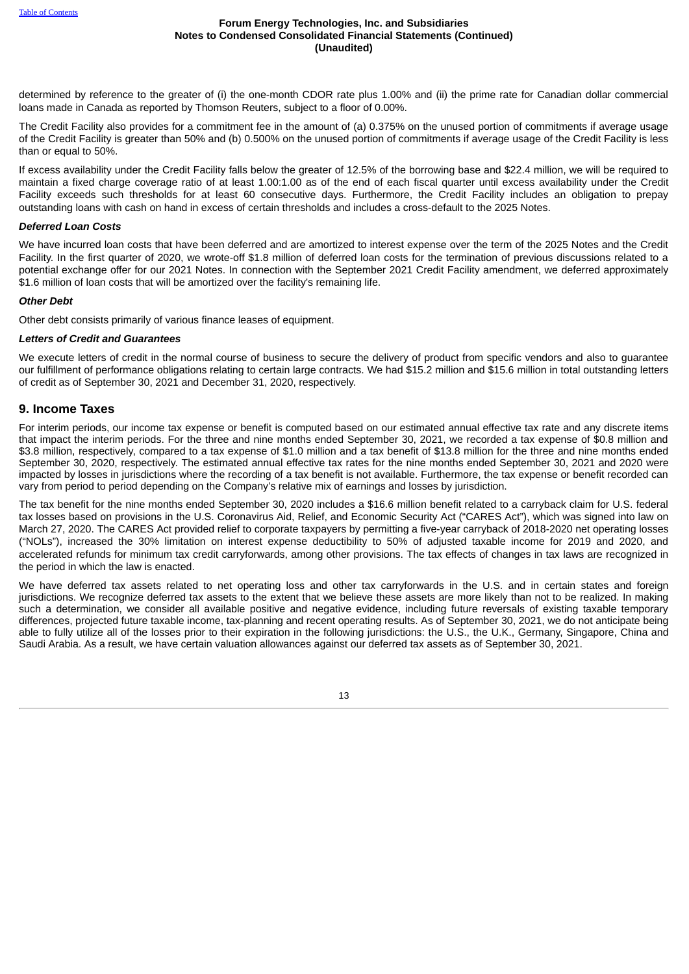determined by reference to the greater of (i) the one-month CDOR rate plus 1.00% and (ii) the prime rate for Canadian dollar commercial loans made in Canada as reported by Thomson Reuters, subject to a floor of 0.00%.

The Credit Facility also provides for a commitment fee in the amount of (a) 0.375% on the unused portion of commitments if average usage of the Credit Facility is greater than 50% and (b) 0.500% on the unused portion of commitments if average usage of the Credit Facility is less than or equal to 50%.

If excess availability under the Credit Facility falls below the greater of 12.5% of the borrowing base and \$22.4 million, we will be required to maintain a fixed charge coverage ratio of at least 1.00:1.00 as of the end of each fiscal quarter until excess availability under the Credit Facility exceeds such thresholds for at least 60 consecutive days. Furthermore, the Credit Facility includes an obligation to prepay outstanding loans with cash on hand in excess of certain thresholds and includes a cross-default to the 2025 Notes.

### *Deferred Loan Costs*

We have incurred loan costs that have been deferred and are amortized to interest expense over the term of the 2025 Notes and the Credit Facility. In the first quarter of 2020, we wrote-off \$1.8 million of deferred loan costs for the termination of previous discussions related to a potential exchange offer for our 2021 Notes. In connection with the September 2021 Credit Facility amendment, we deferred approximately \$1.6 million of loan costs that will be amortized over the facility's remaining life.

### *Other Debt*

Other debt consists primarily of various finance leases of equipment.

### *Letters of Credit and Guarantees*

We execute letters of credit in the normal course of business to secure the delivery of product from specific vendors and also to quarantee our fulfillment of performance obligations relating to certain large contracts. We had \$15.2 million and \$15.6 million in total outstanding letters of credit as of September 30, 2021 and December 31, 2020, respectively.

### **9. Income Taxes**

For interim periods, our income tax expense or benefit is computed based on our estimated annual effective tax rate and any discrete items that impact the interim periods. For the three and nine months ended September 30, 2021, we recorded a tax expense of \$0.8 million and \$3.8 million, respectively, compared to a tax expense of \$1.0 million and a tax benefit of \$13.8 million for the three and nine months ended September 30, 2020, respectively. The estimated annual effective tax rates for the nine months ended September 30, 2021 and 2020 were impacted by losses in jurisdictions where the recording of a tax benefit is not available. Furthermore, the tax expense or benefit recorded can vary from period to period depending on the Company's relative mix of earnings and losses by jurisdiction.

The tax benefit for the nine months ended September 30, 2020 includes a \$16.6 million benefit related to a carryback claim for U.S. federal tax losses based on provisions in the U.S. Coronavirus Aid, Relief, and Economic Security Act ("CARES Act"), which was signed into law on March 27, 2020. The CARES Act provided relief to corporate taxpayers by permitting a five-year carryback of 2018-2020 net operating losses ("NOLs"), increased the 30% limitation on interest expense deductibility to 50% of adjusted taxable income for 2019 and 2020, and accelerated refunds for minimum tax credit carryforwards, among other provisions. The tax effects of changes in tax laws are recognized in the period in which the law is enacted.

We have deferred tax assets related to net operating loss and other tax carryforwards in the U.S. and in certain states and foreign jurisdictions. We recognize deferred tax assets to the extent that we believe these assets are more likely than not to be realized. In making such a determination, we consider all available positive and negative evidence, including future reversals of existing taxable temporary differences, projected future taxable income, tax-planning and recent operating results. As of September 30, 2021, we do not anticipate being able to fully utilize all of the losses prior to their expiration in the following jurisdictions: the U.S., the U.K., Germany, Singapore, China and Saudi Arabia. As a result, we have certain valuation allowances against our deferred tax assets as of September 30, 2021.

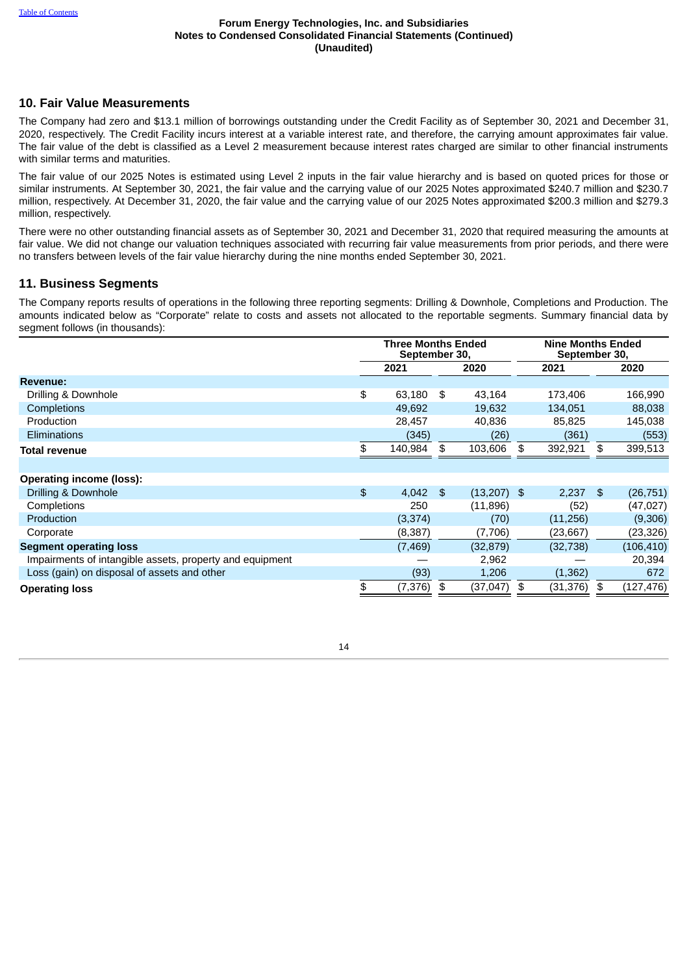### **10. Fair Value Measurements**

The Company had zero and \$13.1 million of borrowings outstanding under the Credit Facility as of September 30, 2021 and December 31, 2020, respectively. The Credit Facility incurs interest at a variable interest rate, and therefore, the carrying amount approximates fair value. The fair value of the debt is classified as a Level 2 measurement because interest rates charged are similar to other financial instruments with similar terms and maturities.

The fair value of our 2025 Notes is estimated using Level 2 inputs in the fair value hierarchy and is based on quoted prices for those or similar instruments. At September 30, 2021, the fair value and the carrying value of our 2025 Notes approximated \$240.7 million and \$230.7 million, respectively. At December 31, 2020, the fair value and the carrying value of our 2025 Notes approximated \$200.3 million and \$279.3 million, respectively.

There were no other outstanding financial assets as of September 30, 2021 and December 31, 2020 that required measuring the amounts at fair value. We did not change our valuation techniques associated with recurring fair value measurements from prior periods, and there were no transfers between levels of the fair value hierarchy during the nine months ended September 30, 2021.

# **11. Business Segments**

The Company reports results of operations in the following three reporting segments: Drilling & Downhole, Completions and Production. The amounts indicated below as "Corporate" relate to costs and assets not allocated to the reportable segments. Summary financial data by segment follows (in thousands):

|                                                          | Three Months Ended<br>September 30, |          |    |               | <b>Nine Months Ended</b><br>September 30, |           |    |            |
|----------------------------------------------------------|-------------------------------------|----------|----|---------------|-------------------------------------------|-----------|----|------------|
|                                                          |                                     | 2021     |    | 2020          |                                           | 2021      |    | 2020       |
| Revenue:                                                 |                                     |          |    |               |                                           |           |    |            |
| Drilling & Downhole                                      | \$                                  | 63,180   | \$ | 43,164        |                                           | 173,406   |    | 166,990    |
| Completions                                              |                                     | 49,692   |    | 19,632        |                                           | 134,051   |    | 88,038     |
| Production                                               |                                     | 28,457   |    | 40,836        |                                           | 85,825    |    | 145,038    |
| <b>Eliminations</b>                                      |                                     | (345)    |    | (26)          |                                           | (361)     |    | (553)      |
| <b>Total revenue</b>                                     |                                     | 140,984  | \$ | 103,606       | \$                                        | 392,921   | \$ | 399,513    |
|                                                          |                                     |          |    |               |                                           |           |    |            |
| <b>Operating income (loss):</b>                          |                                     |          |    |               |                                           |           |    |            |
| Drilling & Downhole                                      | $\mathfrak{P}$                      | 4,042    | \$ | $(13,207)$ \$ |                                           | 2,237     | \$ | (26, 751)  |
| Completions                                              |                                     | 250      |    | (11,896)      |                                           | (52)      |    | (47, 027)  |
| Production                                               |                                     | (3,374)  |    | (70)          |                                           | (11,256)  |    | (9,306)    |
| Corporate                                                |                                     | (8, 387) |    | (7,706)       |                                           | (23, 667) |    | (23, 326)  |
| <b>Segment operating loss</b>                            |                                     | (7, 469) |    | (32, 879)     |                                           | (32, 738) |    | (106, 410) |
| Impairments of intangible assets, property and equipment |                                     |          |    | 2,962         |                                           |           |    | 20,394     |
| Loss (gain) on disposal of assets and other              |                                     | (93)     |    | 1,206         |                                           | (1, 362)  |    | 672        |
| <b>Operating loss</b>                                    | \$                                  | (7, 376) | \$ | (37, 047)     | \$                                        | (31, 376) | \$ | (127, 476) |

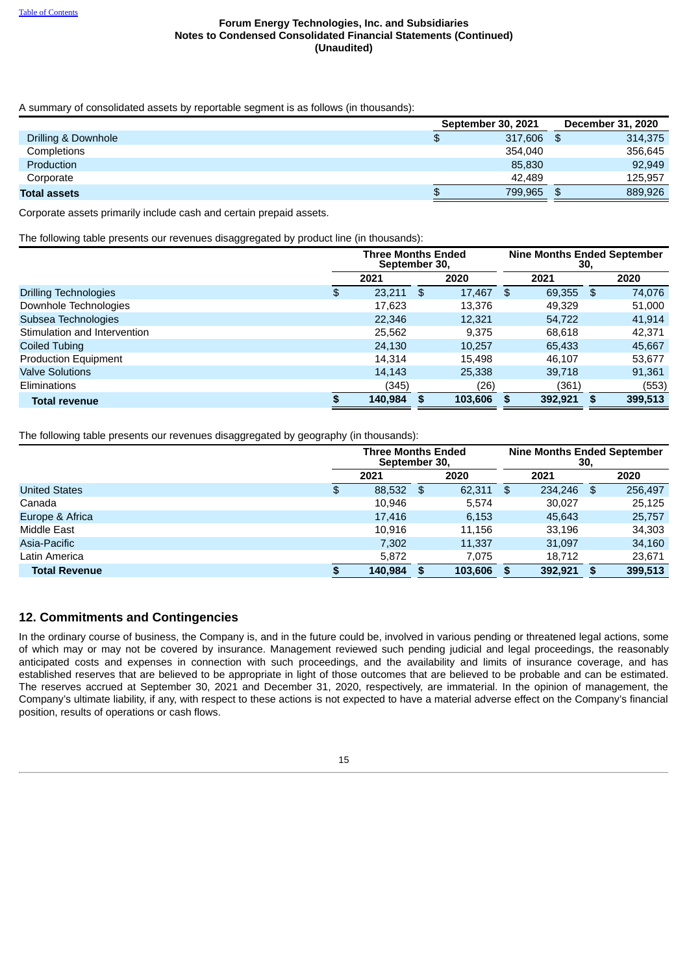A summary of consolidated assets by reportable segment is as follows (in thousands):

|                     | <b>September 30, 2021</b> |              | December 31, 2020 |
|---------------------|---------------------------|--------------|-------------------|
| Drilling & Downhole | \$<br>317.606             | $\mathbf{E}$ | 314.375           |
| Completions         | 354.040                   |              | 356.645           |
| Production          | 85,830                    |              | 92.949            |
| Corporate           | 42.489                    |              | 125.957           |
| <b>Total assets</b> | \$<br>799,965             | \$.          | 889,926           |

Corporate assets primarily include cash and certain prepaid assets.

The following table presents our revenues disaggregated by product line (in thousands):

|                              | <b>Three Months Ended</b><br>September 30, |         |    |         |      | <b>Nine Months Ended September</b><br>30. |     |         |  |
|------------------------------|--------------------------------------------|---------|----|---------|------|-------------------------------------------|-----|---------|--|
|                              | 2021                                       |         |    | 2020    | 2021 |                                           |     | 2020    |  |
| <b>Drilling Technologies</b> | \$                                         | 23.211  | \$ | 17,467  | \$   | 69,355                                    | -\$ | 74,076  |  |
| Downhole Technologies        |                                            | 17,623  |    | 13.376  |      | 49.329                                    |     | 51,000  |  |
| Subsea Technologies          |                                            | 22,346  |    | 12.321  |      | 54,722                                    |     | 41,914  |  |
| Stimulation and Intervention |                                            | 25,562  |    | 9.375   |      | 68.618                                    |     | 42,371  |  |
| Coiled Tubing                |                                            | 24.130  |    | 10.257  |      | 65.433                                    |     | 45,667  |  |
| <b>Production Equipment</b>  |                                            | 14.314  |    | 15.498  |      | 46.107                                    |     | 53,677  |  |
| <b>Valve Solutions</b>       |                                            | 14.143  |    | 25,338  |      | 39,718                                    |     | 91,361  |  |
| Eliminations                 |                                            | (345)   |    | (26)    |      | (361)                                     |     | (553)   |  |
| <b>Total revenue</b>         | S                                          | 140,984 |    | 103,606 |      | 392,921                                   | S   | 399,513 |  |

The following table presents our revenues disaggregated by geography (in thousands):

|                      | <b>Three Months Ended</b><br>September 30, |     |         |    | <b>Nine Months Ended September</b><br>30, |    |         |  |
|----------------------|--------------------------------------------|-----|---------|----|-------------------------------------------|----|---------|--|
|                      | 2021                                       |     | 2020    |    | 2021                                      |    | 2020    |  |
| <b>United States</b> | \$<br>88,532                               | -\$ | 62,311  | \$ | 234.246                                   | \$ | 256.497 |  |
| Canada               | 10.946                                     |     | 5.574   |    | 30.027                                    |    | 25.125  |  |
| Europe & Africa      | 17,416                                     |     | 6,153   |    | 45,643                                    |    | 25,757  |  |
| Middle East          | 10.916                                     |     | 11.156  |    | 33.196                                    |    | 34,303  |  |
| Asia-Pacific         | 7.302                                      |     | 11.337  |    | 31,097                                    |    | 34,160  |  |
| Latin America        | 5.872                                      |     | 7.075   |    | 18.712                                    |    | 23,671  |  |
| <b>Total Revenue</b> | 140.984                                    |     | 103,606 |    | 392.921                                   |    | 399,513 |  |

# **12. Commitments and Contingencies**

In the ordinary course of business, the Company is, and in the future could be, involved in various pending or threatened legal actions, some of which may or may not be covered by insurance. Management reviewed such pending judicial and legal proceedings, the reasonably anticipated costs and expenses in connection with such proceedings, and the availability and limits of insurance coverage, and has established reserves that are believed to be appropriate in light of those outcomes that are believed to be probable and can be estimated. The reserves accrued at September 30, 2021 and December 31, 2020, respectively, are immaterial. In the opinion of management, the Company's ultimate liability, if any, with respect to these actions is not expected to have a material adverse effect on the Company's financial position, results of operations or cash flows.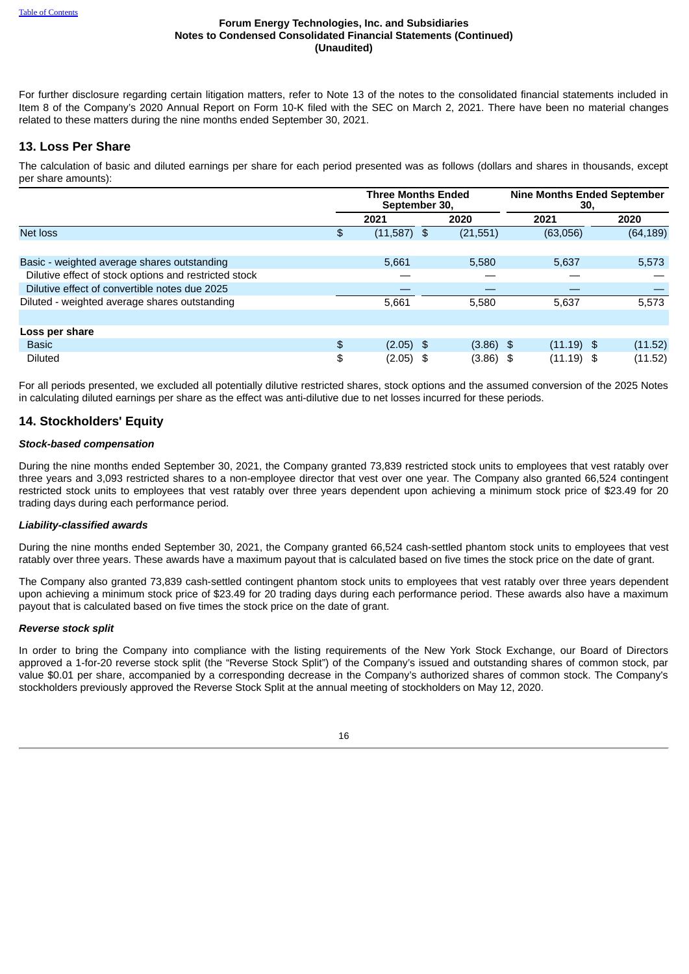For further disclosure regarding certain litigation matters, refer to Note 13 of the notes to the consolidated financial statements included in Item 8 of the Company's 2020 Annual Report on Form 10-K filed with the SEC on March 2, 2021. There have been no material changes related to these matters during the nine months ended September 30, 2021.

### **13. Loss Per Share**

The calculation of basic and diluted earnings per share for each period presented was as follows (dollars and shares in thousands, except per share amounts):

|                                                       | <b>Three Months Ended</b><br>September 30, |               |  |             | <b>Nine Months Ended September</b><br>30. |  |           |  |
|-------------------------------------------------------|--------------------------------------------|---------------|--|-------------|-------------------------------------------|--|-----------|--|
|                                                       |                                            | 2020<br>2021  |  |             | 2021                                      |  | 2020      |  |
| <b>Net loss</b>                                       | \$                                         | $(11,587)$ \$ |  | (21, 551)   | (63,056)                                  |  | (64, 189) |  |
|                                                       |                                            |               |  |             |                                           |  |           |  |
| Basic - weighted average shares outstanding           |                                            | 5.661         |  | 5,580       | 5,637                                     |  | 5,573     |  |
| Dilutive effect of stock options and restricted stock |                                            |               |  |             |                                           |  |           |  |
| Dilutive effect of convertible notes due 2025         |                                            |               |  |             |                                           |  |           |  |
| Diluted - weighted average shares outstanding         |                                            | 5.661         |  | 5.580       | 5,637                                     |  | 5,573     |  |
|                                                       |                                            |               |  |             |                                           |  |           |  |
| Loss per share                                        |                                            |               |  |             |                                           |  |           |  |
| <b>Basic</b>                                          | \$                                         | $(2.05)$ \$   |  | $(3.86)$ \$ | $(11.19)$ \$                              |  | (11.52)   |  |
| <b>Diluted</b>                                        | \$                                         | $(2.05)$ \$   |  | $(3.86)$ \$ | $(11.19)$ \$                              |  | (11.52)   |  |

For all periods presented, we excluded all potentially dilutive restricted shares, stock options and the assumed conversion of the 2025 Notes in calculating diluted earnings per share as the effect was anti-dilutive due to net losses incurred for these periods.

### **14. Stockholders' Equity**

### *Stock-based compensation*

During the nine months ended September 30, 2021, the Company granted 73,839 restricted stock units to employees that vest ratably over three years and 3,093 restricted shares to a non-employee director that vest over one year. The Company also granted 66,524 contingent restricted stock units to employees that vest ratably over three years dependent upon achieving a minimum stock price of \$23.49 for 20 trading days during each performance period.

### *Liability-classified awards*

During the nine months ended September 30, 2021, the Company granted 66,524 cash-settled phantom stock units to employees that vest ratably over three years. These awards have a maximum payout that is calculated based on five times the stock price on the date of grant.

The Company also granted 73,839 cash-settled contingent phantom stock units to employees that vest ratably over three years dependent upon achieving a minimum stock price of \$23.49 for 20 trading days during each performance period. These awards also have a maximum payout that is calculated based on five times the stock price on the date of grant.

### *Reverse stock split*

In order to bring the Company into compliance with the listing requirements of the New York Stock Exchange, our Board of Directors approved a 1-for-20 reverse stock split (the "Reverse Stock Split") of the Company's issued and outstanding shares of common stock, par value \$0.01 per share, accompanied by a corresponding decrease in the Company's authorized shares of common stock. The Company's stockholders previously approved the Reverse Stock Split at the annual meeting of stockholders on May 12, 2020.

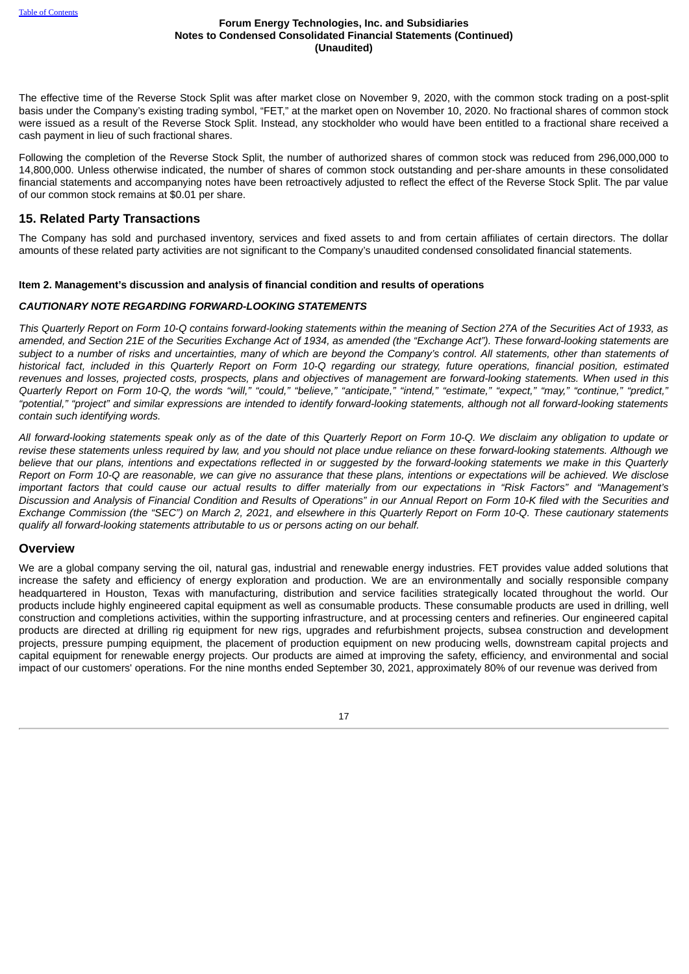The effective time of the Reverse Stock Split was after market close on November 9, 2020, with the common stock trading on a post-split basis under the Company's existing trading symbol, "FET," at the market open on November 10, 2020. No fractional shares of common stock were issued as a result of the Reverse Stock Split. Instead, any stockholder who would have been entitled to a fractional share received a cash payment in lieu of such fractional shares.

Following the completion of the Reverse Stock Split, the number of authorized shares of common stock was reduced from 296,000,000 to 14,800,000. Unless otherwise indicated, the number of shares of common stock outstanding and per-share amounts in these consolidated financial statements and accompanying notes have been retroactively adjusted to reflect the effect of the Reverse Stock Split. The par value of our common stock remains at \$0.01 per share.

### **15. Related Party Transactions**

The Company has sold and purchased inventory, services and fixed assets to and from certain affiliates of certain directors. The dollar amounts of these related party activities are not significant to the Company's unaudited condensed consolidated financial statements.

### <span id="page-16-0"></span>**Item 2. Management's discussion and analysis of financial condition and results of operations**

### *CAUTIONARY NOTE REGARDING FORWARD-LOOKING STATEMENTS*

This Quarterly Report on Form 10-O contains forward-looking statements within the meaning of Section 27A of the Securities Act of 1933, as amended, and Section 21E of the Securities Exchange Act of 1934, as amended (the "Exchange Act"). These forward-looking statements are subject to a number of risks and uncertainties, many of which are beyond the Company's control. All statements, other than statements of historical fact, included in this Quarterly Report on Form 10-Q regarding our strategy, future operations, financial position, estimated revenues and losses, projected costs, prospects, plans and objectives of management are forward-looking statements. When used in this Quarterly Report on Form 10-Q, the words "will," "could," "believe," "anticipate," "intend," "estimate," "expect," "may," "continue," "predict," "potential." "project" and similar expressions are intended to identify forward-looking statements, although not all forward-looking statements *contain such identifying words.*

All forward-looking statements speak only as of the date of this Ouarterly Report on Form 10-O. We disclaim any obligation to update or revise these statements unless required by law, and you should not place undue reliance on these forward-looking statements. Although we believe that our plans, intentions and expectations reflected in or suggested by the forward-looking statements we make in this Ouarterly Report on Form 10-Q are reasonable, we can give no assurance that these plans, intentions or expectations will be achieved. We disclose important factors that could cause our actual results to differ materially from our expectations in "Risk Factors" and "Management's Discussion and Analysis of Financial Condition and Results of Operations" in our Annual Report on Form 10-K filed with the Securities and Exchange Commission (the "SEC") on March 2, 2021, and elsewhere in this Quarterly Report on Form 10-Q. These cautionary statements *qualify all forward-looking statements attributable to us or persons acting on our behalf.*

### **Overview**

We are a global company serving the oil, natural gas, industrial and renewable energy industries. FET provides value added solutions that increase the safety and efficiency of energy exploration and production. We are an environmentally and socially responsible company headquartered in Houston, Texas with manufacturing, distribution and service facilities strategically located throughout the world. Our products include highly engineered capital equipment as well as consumable products. These consumable products are used in drilling, well construction and completions activities, within the supporting infrastructure, and at processing centers and refineries. Our engineered capital products are directed at drilling rig equipment for new rigs, upgrades and refurbishment projects, subsea construction and development projects, pressure pumping equipment, the placement of production equipment on new producing wells, downstream capital projects and capital equipment for renewable energy projects. Our products are aimed at improving the safety, efficiency, and environmental and social impact of our customers' operations. For the nine months ended September 30, 2021, approximately 80% of our revenue was derived from

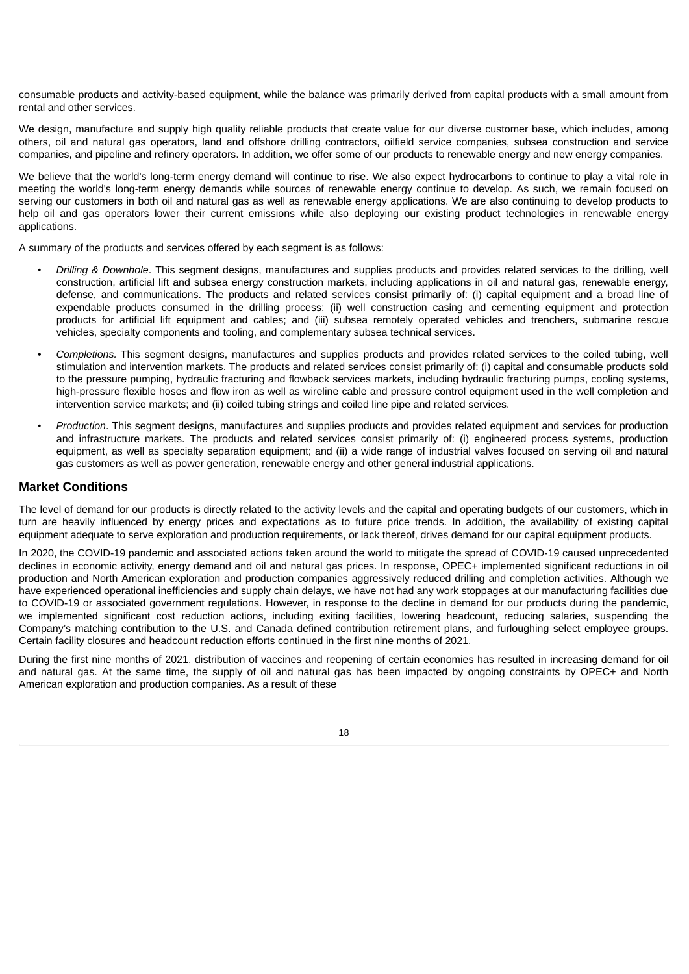consumable products and activity-based equipment, while the balance was primarily derived from capital products with a small amount from rental and other services.

We design, manufacture and supply high quality reliable products that create value for our diverse customer base, which includes, among others, oil and natural gas operators, land and offshore drilling contractors, oilfield service companies, subsea construction and service companies, and pipeline and refinery operators. In addition, we offer some of our products to renewable energy and new energy companies.

We believe that the world's long-term energy demand will continue to rise. We also expect hydrocarbons to continue to play a vital role in meeting the world's long-term energy demands while sources of renewable energy continue to develop. As such, we remain focused on serving our customers in both oil and natural gas as well as renewable energy applications. We are also continuing to develop products to help oil and gas operators lower their current emissions while also deploying our existing product technologies in renewable energy applications.

A summary of the products and services offered by each segment is as follows:

- *Drilling & Downhole*. This segment designs, manufactures and supplies products and provides related services to the drilling, well construction, artificial lift and subsea energy construction markets, including applications in oil and natural gas, renewable energy, defense, and communications. The products and related services consist primarily of: (i) capital equipment and a broad line of expendable products consumed in the drilling process; (ii) well construction casing and cementing equipment and protection products for artificial lift equipment and cables; and (iii) subsea remotely operated vehicles and trenchers, submarine rescue vehicles, specialty components and tooling, and complementary subsea technical services.
- *Completions.* This segment designs, manufactures and supplies products and provides related services to the coiled tubing, well stimulation and intervention markets. The products and related services consist primarily of: (i) capital and consumable products sold to the pressure pumping, hydraulic fracturing and flowback services markets, including hydraulic fracturing pumps, cooling systems, high-pressure flexible hoses and flow iron as well as wireline cable and pressure control equipment used in the well completion and intervention service markets; and (ii) coiled tubing strings and coiled line pipe and related services.
- *Production*. This segment designs, manufactures and supplies products and provides related equipment and services for production and infrastructure markets. The products and related services consist primarily of: (i) engineered process systems, production equipment, as well as specialty separation equipment; and (ii) a wide range of industrial valves focused on serving oil and natural gas customers as well as power generation, renewable energy and other general industrial applications.

### **Market Conditions**

The level of demand for our products is directly related to the activity levels and the capital and operating budgets of our customers, which in turn are heavily influenced by energy prices and expectations as to future price trends. In addition, the availability of existing capital equipment adequate to serve exploration and production requirements, or lack thereof, drives demand for our capital equipment products.

In 2020, the COVID-19 pandemic and associated actions taken around the world to mitigate the spread of COVID-19 caused unprecedented declines in economic activity, energy demand and oil and natural gas prices. In response, OPEC+ implemented significant reductions in oil production and North American exploration and production companies aggressively reduced drilling and completion activities. Although we have experienced operational inefficiencies and supply chain delays, we have not had any work stoppages at our manufacturing facilities due to COVID-19 or associated government regulations. However, in response to the decline in demand for our products during the pandemic, we implemented significant cost reduction actions, including exiting facilities, lowering headcount, reducing salaries, suspending the Company's matching contribution to the U.S. and Canada defined contribution retirement plans, and furloughing select employee groups. Certain facility closures and headcount reduction efforts continued in the first nine months of 2021.

During the first nine months of 2021, distribution of vaccines and reopening of certain economies has resulted in increasing demand for oil and natural gas. At the same time, the supply of oil and natural gas has been impacted by ongoing constraints by OPEC+ and North American exploration and production companies. As a result of these

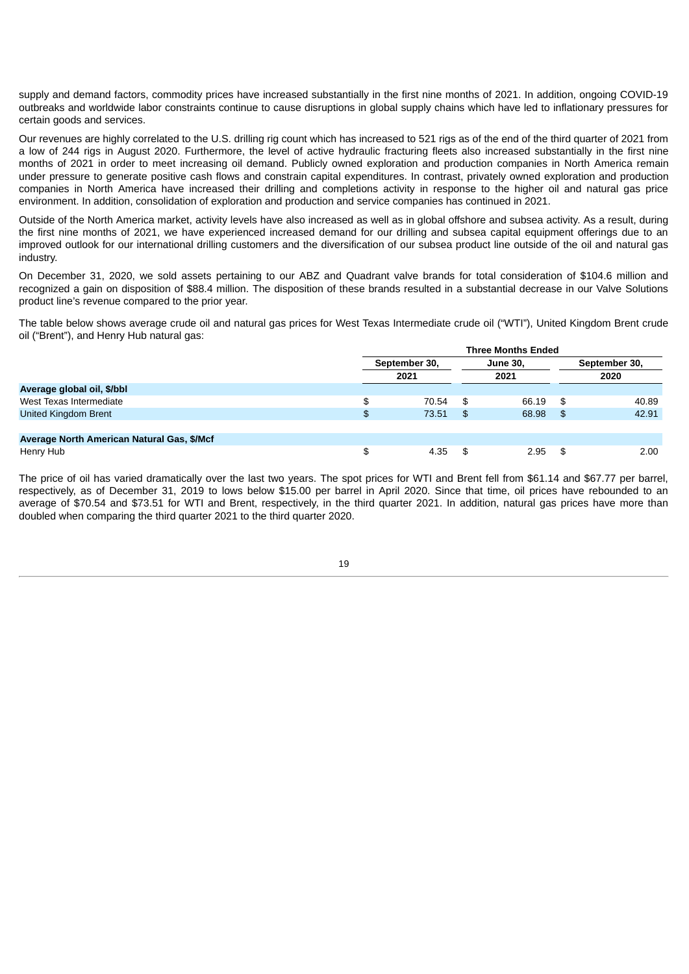supply and demand factors, commodity prices have increased substantially in the first nine months of 2021. In addition, ongoing COVID-19 outbreaks and worldwide labor constraints continue to cause disruptions in global supply chains which have led to inflationary pressures for certain goods and services.

Our revenues are highly correlated to the U.S. drilling rig count which has increased to 521 rigs as of the end of the third quarter of 2021 from a low of 244 rigs in August 2020. Furthermore, the level of active hydraulic fracturing fleets also increased substantially in the first nine months of 2021 in order to meet increasing oil demand. Publicly owned exploration and production companies in North America remain under pressure to generate positive cash flows and constrain capital expenditures. In contrast, privately owned exploration and production companies in North America have increased their drilling and completions activity in response to the higher oil and natural gas price environment. In addition, consolidation of exploration and production and service companies has continued in 2021.

Outside of the North America market, activity levels have also increased as well as in global offshore and subsea activity. As a result, during the first nine months of 2021, we have experienced increased demand for our drilling and subsea capital equipment offerings due to an improved outlook for our international drilling customers and the diversification of our subsea product line outside of the oil and natural gas industry.

On December 31, 2020, we sold assets pertaining to our ABZ and Quadrant valve brands for total consideration of \$104.6 million and recognized a gain on disposition of \$88.4 million. The disposition of these brands resulted in a substantial decrease in our Valve Solutions product line's revenue compared to the prior year.

The table below shows average crude oil and natural gas prices for West Texas Intermediate crude oil ("WTI"), United Kingdom Brent crude oil ("Brent"), and Henry Hub natural gas:

|                                            | <b>Three Months Ended</b> |      |          |      |               |  |  |  |  |  |
|--------------------------------------------|---------------------------|------|----------|------|---------------|--|--|--|--|--|
|                                            | September 30,             |      | June 30, |      | September 30, |  |  |  |  |  |
|                                            | 2021                      |      | 2021     |      | 2020          |  |  |  |  |  |
| Average global oil, \$/bbl                 |                           |      |          |      |               |  |  |  |  |  |
| West Texas Intermediate                    | \$<br>70.54               | -\$  | 66.19    | - \$ | 40.89         |  |  |  |  |  |
| United Kingdom Brent                       | \$<br>73.51               | -\$  | 68.98    | \$   | 42.91         |  |  |  |  |  |
|                                            |                           |      |          |      |               |  |  |  |  |  |
| Average North American Natural Gas, \$/Mcf |                           |      |          |      |               |  |  |  |  |  |
| Henry Hub                                  | \$<br>4.35                | - \$ | 2.95     | \$   | 2.00          |  |  |  |  |  |

The price of oil has varied dramatically over the last two years. The spot prices for WTI and Brent fell from \$61.14 and \$67.77 per barrel, respectively, as of December 31, 2019 to lows below \$15.00 per barrel in April 2020. Since that time, oil prices have rebounded to an average of \$70.54 and \$73.51 for WTI and Brent, respectively, in the third quarter 2021. In addition, natural gas prices have more than doubled when comparing the third quarter 2021 to the third quarter 2020.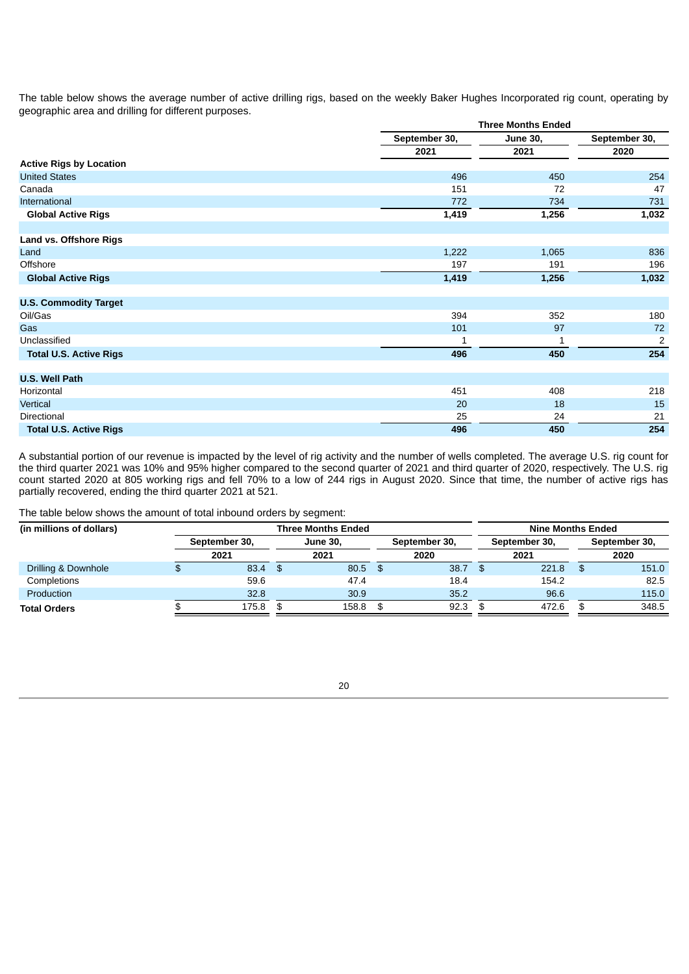The table below shows the average number of active drilling rigs, based on the weekly Baker Hughes Incorporated rig count, operating by geographic area and drilling for different purposes.

|                                |               | <b>Three Months Ended</b> |               |  |  |
|--------------------------------|---------------|---------------------------|---------------|--|--|
|                                | September 30, | June 30,                  | September 30, |  |  |
|                                | 2021          | 2021                      | 2020          |  |  |
| <b>Active Rigs by Location</b> |               |                           |               |  |  |
| <b>United States</b>           | 496           | 450                       | 254           |  |  |
| Canada                         | 151           | 72                        | 47            |  |  |
| International                  | 772           | 734                       | 731           |  |  |
| <b>Global Active Rigs</b>      | 1,419         | 1,256                     | 1,032         |  |  |
|                                |               |                           |               |  |  |
| Land vs. Offshore Rigs         |               |                           |               |  |  |
| Land                           | 1,222         | 1,065                     | 836           |  |  |
| Offshore                       | 197           | 191                       | 196           |  |  |
| <b>Global Active Rigs</b>      | 1,419         | 1,256                     | 1,032         |  |  |
|                                |               |                           |               |  |  |
| <b>U.S. Commodity Target</b>   |               |                           |               |  |  |
| Oil/Gas                        | 394           | 352                       | 180           |  |  |
| Gas                            | 101           | 97                        | 72            |  |  |
| Unclassified                   | 1             | 1                         | 2             |  |  |
| <b>Total U.S. Active Rigs</b>  | 496           | 450                       | 254           |  |  |
|                                |               |                           |               |  |  |
| <b>U.S. Well Path</b>          |               |                           |               |  |  |
| Horizontal                     | 451           | 408                       | 218           |  |  |
| Vertical                       | 20            | 18                        | 15            |  |  |
| <b>Directional</b>             | 25            | 24                        | 21            |  |  |
| <b>Total U.S. Active Rigs</b>  | 496           | 450                       | 254           |  |  |

A substantial portion of our revenue is impacted by the level of rig activity and the number of wells completed. The average U.S. rig count for the third quarter 2021 was 10% and 95% higher compared to the second quarter of 2021 and third quarter of 2020, respectively. The U.S. rig count started 2020 at 805 working rigs and fell 70% to a low of 244 rigs in August 2020. Since that time, the number of active rigs has partially recovered, ending the third quarter 2021 at 521.

The table below shows the amount of total inbound orders by segment:

| (in millions of dollars)<br><b>Three Months Ended</b> |  |               |  |          |      |               | Nine Months Ended |               |  |               |  |  |  |
|-------------------------------------------------------|--|---------------|--|----------|------|---------------|-------------------|---------------|--|---------------|--|--|--|
|                                                       |  | September 30. |  | June 30. |      | September 30. |                   | September 30, |  | September 30, |  |  |  |
|                                                       |  | 2021          |  | 2021     |      | 2020          |                   | 2021          |  | 2020          |  |  |  |
| Drilling & Downhole                                   |  | 83.4          |  | 80.5     | 8 L  | 38.7          | \$                | 221.8         |  | 151.0         |  |  |  |
| Completions                                           |  | 59.6          |  | 47.4     |      | 18.4          |                   | 154.2         |  | 82.5          |  |  |  |
| Production                                            |  | 32.8          |  | 30.9     |      | 35.2          |                   | 96.6          |  | 115.0         |  |  |  |
| <b>Total Orders</b>                                   |  | 175.8         |  | 158.8    | - \$ | 92.3          | \$                | 472.6         |  | 348.5         |  |  |  |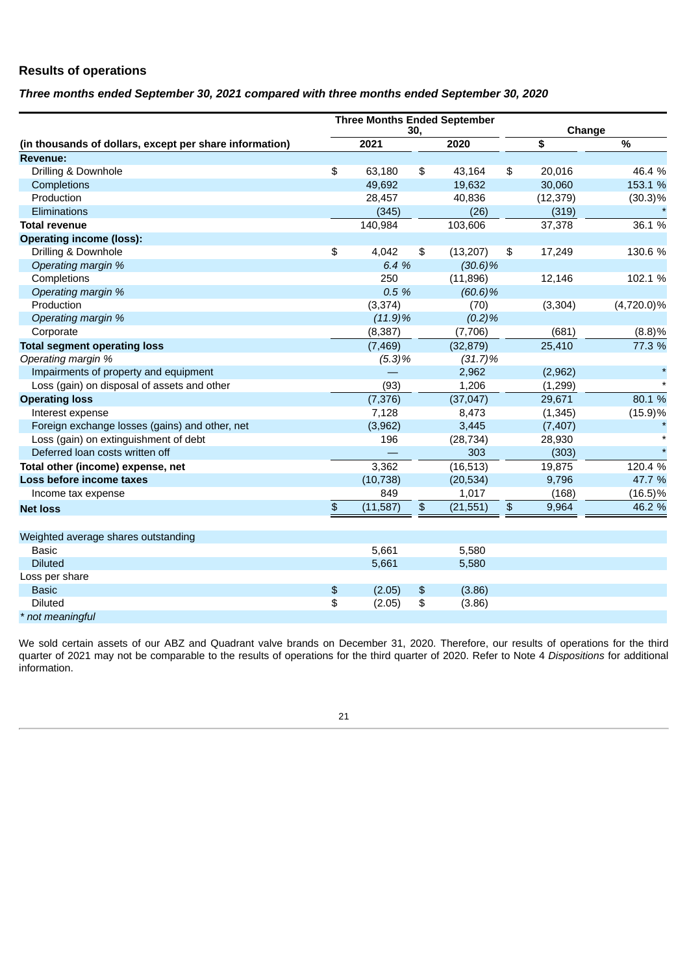# **Results of operations**

### *Three months ended September 30, 2021 compared with three months ended September 30, 2020*

|                                                         |                 | 30,           | <b>Three Months Ended September</b> |               | Change    |               |  |  |
|---------------------------------------------------------|-----------------|---------------|-------------------------------------|---------------|-----------|---------------|--|--|
| (in thousands of dollars, except per share information) | 2021            |               | 2020                                |               | \$        | $\%$          |  |  |
| <b>Revenue:</b>                                         |                 |               |                                     |               |           |               |  |  |
| Drilling & Downhole                                     | \$<br>63,180    | $\frac{1}{2}$ | 43,164                              | \$            | 20,016    | 46.4 %        |  |  |
| Completions                                             | 49,692          |               | 19,632                              |               | 30,060    | 153.1 %       |  |  |
| Production                                              | 28,457          |               | 40,836                              |               | (12, 379) | $(30.3)\%$    |  |  |
| Eliminations                                            | (345)           |               | (26)                                |               | (319)     |               |  |  |
| <b>Total revenue</b>                                    | 140,984         |               | 103,606                             |               | 37,378    | 36.1 %        |  |  |
| <b>Operating income (loss):</b>                         |                 |               |                                     |               |           |               |  |  |
| Drilling & Downhole                                     | \$<br>4,042     | \$            | (13, 207)                           | \$            | 17,249    | 130.6 %       |  |  |
| Operating margin %                                      | 6.4 %           |               | $(30.6)\%$                          |               |           |               |  |  |
| Completions                                             | 250             |               | (11, 896)                           |               | 12,146    | 102.1 %       |  |  |
| Operating margin %                                      | 0.5 %           |               | (60.6)%                             |               |           |               |  |  |
| Production                                              | (3, 374)        |               | (70)                                |               | (3, 304)  | $(4,720.0)\%$ |  |  |
| Operating margin %                                      | $(11.9)\%$      |               | (0.2)%                              |               |           |               |  |  |
| Corporate                                               | (8, 387)        |               | (7,706)                             |               | (681)     | (8.8)%        |  |  |
| <b>Total segment operating loss</b>                     | (7, 469)        |               | (32, 879)                           |               | 25,410    | 77.3 %        |  |  |
| Operating margin %                                      | (5.3)%          |               | $(31.7)\%$                          |               |           |               |  |  |
| Impairments of property and equipment                   |                 |               | 2,962                               |               | (2,962)   |               |  |  |
| Loss (gain) on disposal of assets and other             | (93)            |               | 1,206                               |               | (1, 299)  |               |  |  |
| <b>Operating loss</b>                                   | (7, 376)        |               | (37, 047)                           |               | 29,671    | 80.1 %        |  |  |
| Interest expense                                        | 7,128           |               | 8,473                               |               | (1, 345)  | $(15.9)\%$    |  |  |
| Foreign exchange losses (gains) and other, net          | (3,962)         |               | 3,445                               |               | (7, 407)  |               |  |  |
| Loss (gain) on extinguishment of debt                   | 196             |               | (28, 734)                           |               | 28,930    |               |  |  |
| Deferred loan costs written off                         |                 |               | 303                                 |               | (303)     |               |  |  |
| Total other (income) expense, net                       | 3,362           |               | (16, 513)                           |               | 19,875    | 120.4 %       |  |  |
| Loss before income taxes                                | (10, 738)       |               | (20, 534)                           |               | 9,796     | 47.7 %        |  |  |
| Income tax expense                                      | 849             |               | 1,017                               |               | (168)     | $(16.5)\%$    |  |  |
| <b>Net loss</b>                                         | \$<br>(11, 587) | $\frac{1}{2}$ | (21, 551)                           | $\frac{1}{2}$ | 9,964     | 46.2 %        |  |  |
|                                                         |                 |               |                                     |               |           |               |  |  |
| Weighted average shares outstanding<br><b>Basic</b>     | 5,661           |               | 5,580                               |               |           |               |  |  |
| <b>Diluted</b>                                          | 5,661           |               | 5,580                               |               |           |               |  |  |
|                                                         |                 |               |                                     |               |           |               |  |  |
| Loss per share<br><b>Basic</b>                          | \$<br>(2.05)    | \$            | (3.86)                              |               |           |               |  |  |
| <b>Diluted</b>                                          | \$<br>(2.05)    | \$            | (3.86)                              |               |           |               |  |  |
| * not meaningful                                        |                 |               |                                     |               |           |               |  |  |

We sold certain assets of our ABZ and Quadrant valve brands on December 31, 2020. Therefore, our results of operations for the third quarter of 2021 may not be comparable to the results of operations for the third quarter of 2020. Refer to Note 4 *Dispositions* for additional information.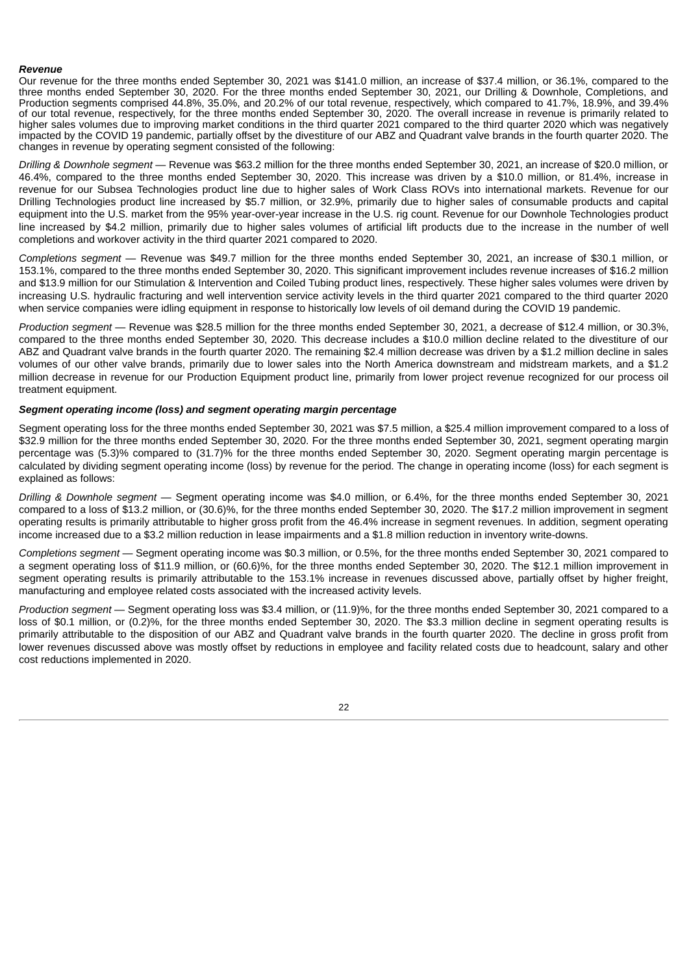#### *Revenue*

Our revenue for the three months ended September 30, 2021 was \$141.0 million, an increase of \$37.4 million, or 36.1%, compared to the three months ended September 30, 2020. For the three months ended September 30, 2021, our Drilling & Downhole, Completions, and Production segments comprised 44.8%, 35.0%, and 20.2% of our total revenue, respectively, which compared to 41.7%, 18.9%, and 39.4% of our total revenue, respectively, for the three months ended September 30, 2020. The overall increase in revenue is primarily related to higher sales volumes due to improving market conditions in the third quarter 2021 compared to the third quarter 2020 which was negatively impacted by the COVID 19 pandemic, partially offset by the divestiture of our ABZ and Quadrant valve brands in the fourth quarter 2020. The changes in revenue by operating segment consisted of the following:

*Drilling & Downhole segment* — Revenue was \$63.2 million for the three months ended September 30, 2021, an increase of \$20.0 million, or 46.4%, compared to the three months ended September 30, 2020. This increase was driven by a \$10.0 million, or 81.4%, increase in revenue for our Subsea Technologies product line due to higher sales of Work Class ROVs into international markets. Revenue for our Drilling Technologies product line increased by \$5.7 million, or 32.9%, primarily due to higher sales of consumable products and capital equipment into the U.S. market from the 95% year-over-year increase in the U.S. rig count. Revenue for our Downhole Technologies product line increased by \$4.2 million, primarily due to higher sales volumes of artificial lift products due to the increase in the number of well completions and workover activity in the third quarter 2021 compared to 2020.

*Completions segment* — Revenue was \$49.7 million for the three months ended September 30, 2021, an increase of \$30.1 million, or 153.1%, compared to the three months ended September 30, 2020. This significant improvement includes revenue increases of \$16.2 million and \$13.9 million for our Stimulation & Intervention and Coiled Tubing product lines, respectively. These higher sales volumes were driven by increasing U.S. hydraulic fracturing and well intervention service activity levels in the third quarter 2021 compared to the third quarter 2020 when service companies were idling equipment in response to historically low levels of oil demand during the COVID 19 pandemic.

*Production segment* — Revenue was \$28.5 million for the three months ended September 30, 2021, a decrease of \$12.4 million, or 30.3%, compared to the three months ended September 30, 2020. This decrease includes a \$10.0 million decline related to the divestiture of our ABZ and Quadrant valve brands in the fourth quarter 2020. The remaining \$2.4 million decrease was driven by a \$1.2 million decline in sales volumes of our other valve brands, primarily due to lower sales into the North America downstream and midstream markets, and a \$1.2 million decrease in revenue for our Production Equipment product line, primarily from lower project revenue recognized for our process oil treatment equipment.

### *Segment operating income (loss) and segment operating margin percentage*

Segment operating loss for the three months ended September 30, 2021 was \$7.5 million, a \$25.4 million improvement compared to a loss of \$32.9 million for the three months ended September 30, 2020. For the three months ended September 30, 2021, segment operating margin percentage was (5.3)% compared to (31.7)% for the three months ended September 30, 2020. Segment operating margin percentage is calculated by dividing segment operating income (loss) by revenue for the period. The change in operating income (loss) for each segment is explained as follows:

*Drilling & Downhole segment* — Segment operating income was \$4.0 million, or 6.4%, for the three months ended September 30, 2021 compared to a loss of \$13.2 million, or (30.6)%, for the three months ended September 30, 2020. The \$17.2 million improvement in segment operating results is primarily attributable to higher gross profit from the 46.4% increase in segment revenues. In addition, segment operating income increased due to a \$3.2 million reduction in lease impairments and a \$1.8 million reduction in inventory write-downs.

*Completions segment* — Segment operating income was \$0.3 million, or 0.5%, for the three months ended September 30, 2021 compared to a segment operating loss of \$11.9 million, or (60.6)%, for the three months ended September 30, 2020. The \$12.1 million improvement in segment operating results is primarily attributable to the 153.1% increase in revenues discussed above, partially offset by higher freight. manufacturing and employee related costs associated with the increased activity levels.

*Production segment* — Segment operating loss was \$3.4 million, or (11.9)%, for the three months ended September 30, 2021 compared to a loss of \$0.1 million, or (0.2)%, for the three months ended September 30, 2020. The \$3.3 million decline in segment operating results is primarily attributable to the disposition of our ABZ and Quadrant valve brands in the fourth quarter 2020. The decline in gross profit from lower revenues discussed above was mostly offset by reductions in employee and facility related costs due to headcount, salary and other cost reductions implemented in 2020.

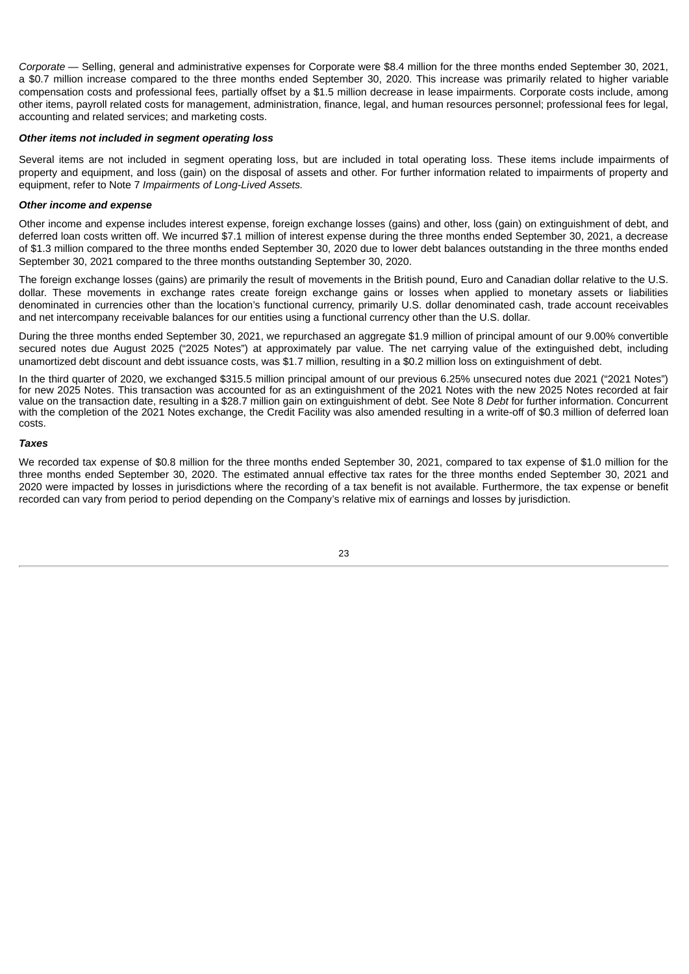*Corporate* — Selling, general and administrative expenses for Corporate were \$8.4 million for the three months ended September 30, 2021, a \$0.7 million increase compared to the three months ended September 30, 2020. This increase was primarily related to higher variable compensation costs and professional fees, partially offset by a \$1.5 million decrease in lease impairments. Corporate costs include, among other items, payroll related costs for management, administration, finance, legal, and human resources personnel; professional fees for legal, accounting and related services; and marketing costs.

### *Other items not included in segment operating loss*

Several items are not included in segment operating loss, but are included in total operating loss. These items include impairments of property and equipment, and loss (gain) on the disposal of assets and other. For further information related to impairments of property and equipment, refer to Note 7 *Impairments of Long-Lived Assets.*

### *Other income and expense*

Other income and expense includes interest expense, foreign exchange losses (gains) and other, loss (gain) on extinguishment of debt, and deferred loan costs written off. We incurred \$7.1 million of interest expense during the three months ended September 30, 2021, a decrease of \$1.3 million compared to the three months ended September 30, 2020 due to lower debt balances outstanding in the three months ended September 30, 2021 compared to the three months outstanding September 30, 2020.

The foreign exchange losses (gains) are primarily the result of movements in the British pound, Euro and Canadian dollar relative to the U.S. dollar. These movements in exchange rates create foreign exchange gains or losses when applied to monetary assets or liabilities denominated in currencies other than the location's functional currency, primarily U.S. dollar denominated cash, trade account receivables and net intercompany receivable balances for our entities using a functional currency other than the U.S. dollar.

During the three months ended September 30, 2021, we repurchased an aggregate \$1.9 million of principal amount of our 9.00% convertible secured notes due August 2025 ("2025 Notes") at approximately par value. The net carrying value of the extinguished debt, including unamortized debt discount and debt issuance costs, was \$1.7 million, resulting in a \$0.2 million loss on extinguishment of debt.

In the third quarter of 2020, we exchanged \$315.5 million principal amount of our previous 6.25% unsecured notes due 2021 ("2021 Notes") for new 2025 Notes. This transaction was accounted for as an extinguishment of the 2021 Notes with the new 2025 Notes recorded at fair value on the transaction date, resulting in a \$28.7 million gain on extinguishment of debt. See Note 8 *Debt* for further information. Concurrent with the completion of the 2021 Notes exchange, the Credit Facility was also amended resulting in a write-off of \$0.3 million of deferred loan costs.

#### *Taxes*

We recorded tax expense of \$0.8 million for the three months ended September 30, 2021, compared to tax expense of \$1.0 million for the three months ended September 30, 2020. The estimated annual effective tax rates for the three months ended September 30, 2021 and 2020 were impacted by losses in jurisdictions where the recording of a tax benefit is not available. Furthermore, the tax expense or benefit recorded can vary from period to period depending on the Company's relative mix of earnings and losses by jurisdiction.

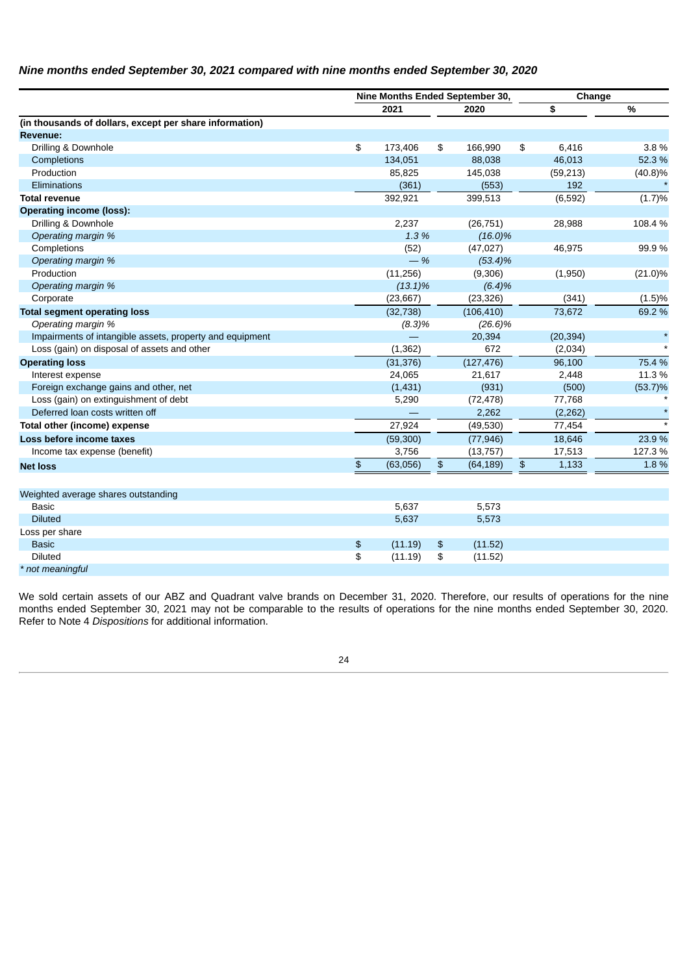# *Nine months ended September 30, 2021 compared with nine months ended September 30, 2020*

|                                                          |                | Nine Months Ended September 30, |               |            |               | Change    |            |
|----------------------------------------------------------|----------------|---------------------------------|---------------|------------|---------------|-----------|------------|
|                                                          |                | 2021                            |               | 2020       |               | \$        | %          |
| (in thousands of dollars, except per share information)  |                |                                 |               |            |               |           |            |
| Revenue:                                                 |                |                                 |               |            |               |           |            |
| Drilling & Downhole                                      | \$             | 173,406                         | \$            | 166,990    | \$            | 6,416     | 3.8%       |
| Completions                                              |                | 134.051                         |               | 88,038     |               | 46,013    | 52.3 %     |
| Production                                               |                | 85,825                          |               | 145,038    |               | (59, 213) | $(40.8)\%$ |
| <b>Eliminations</b>                                      |                | (361)                           |               | (553)      |               | 192       |            |
| <b>Total revenue</b>                                     |                | 392,921                         |               | 399,513    |               | (6, 592)  | (1.7)%     |
| <b>Operating income (loss):</b>                          |                |                                 |               |            |               |           |            |
| Drilling & Downhole                                      |                | 2,237                           |               | (26, 751)  |               | 28,988    | 108.4 %    |
| Operating margin %                                       |                | 1.3 %                           |               | $(16.0)\%$ |               |           |            |
| Completions                                              |                | (52)                            |               | (47, 027)  |               | 46,975    | 99.9%      |
| Operating margin %                                       |                | $-$ %                           |               | $(53.4)\%$ |               |           |            |
| Production                                               |                | (11, 256)                       |               | (9,306)    |               | (1,950)   | $(21.0)\%$ |
| Operating margin %                                       |                | $(13.1)\%$                      |               | (6.4)%     |               |           |            |
| Corporate                                                |                | (23, 667)                       |               | (23, 326)  |               | (341)     | (1.5)%     |
| <b>Total segment operating loss</b>                      |                | (32, 738)                       |               | (106, 410) |               | 73,672    | 69.2%      |
| Operating margin %                                       |                | $(8.3)\%$                       |               | $(26.6)\%$ |               |           |            |
| Impairments of intangible assets, property and equipment |                |                                 |               | 20,394     |               | (20, 394) |            |
| Loss (gain) on disposal of assets and other              |                | (1, 362)                        |               | 672        |               | (2,034)   |            |
| <b>Operating loss</b>                                    |                | (31, 376)                       |               | (127, 476) |               | 96,100    | 75.4 %     |
| Interest expense                                         |                | 24,065                          |               | 21,617     |               | 2,448     | 11.3 %     |
| Foreign exchange gains and other, net                    |                | (1, 431)                        |               | (931)      |               | (500)     | $(53.7)\%$ |
| Loss (gain) on extinguishment of debt                    |                | 5,290                           |               | (72, 478)  |               | 77,768    |            |
| Deferred loan costs written off                          |                |                                 |               | 2,262      |               | (2, 262)  | $\star$    |
| <b>Total other (income) expense</b>                      |                | 27,924                          |               | (49, 530)  |               | 77,454    |            |
| Loss before income taxes                                 |                | (59, 300)                       |               | (77, 946)  |               | 18,646    | 23.9%      |
| Income tax expense (benefit)                             |                | 3,756                           |               | (13, 757)  |               | 17,513    | 127.3 %    |
| <b>Net loss</b>                                          | $\mathfrak{D}$ | (63,056)                        | $\frac{2}{3}$ | (64, 189)  | $\frac{1}{2}$ | 1,133     | 1.8%       |
| Weighted average shares outstanding                      |                |                                 |               |            |               |           |            |
| <b>Basic</b>                                             |                | 5,637                           |               | 5,573      |               |           |            |
| <b>Diluted</b>                                           |                | 5.637                           |               | 5,573      |               |           |            |
| Loss per share                                           |                |                                 |               |            |               |           |            |
| <b>Basic</b>                                             | \$             | (11.19)                         | \$            | (11.52)    |               |           |            |
| <b>Diluted</b>                                           | \$             | (11.19)                         | \$            | (11.52)    |               |           |            |
| * not meaningful                                         |                |                                 |               |            |               |           |            |

We sold certain assets of our ABZ and Quadrant valve brands on December 31, 2020. Therefore, our results of operations for the nine months ended September 30, 2021 may not be comparable to the results of operations for the nine months ended September 30, 2020. Refer to Note 4 *Dispositions* for additional information.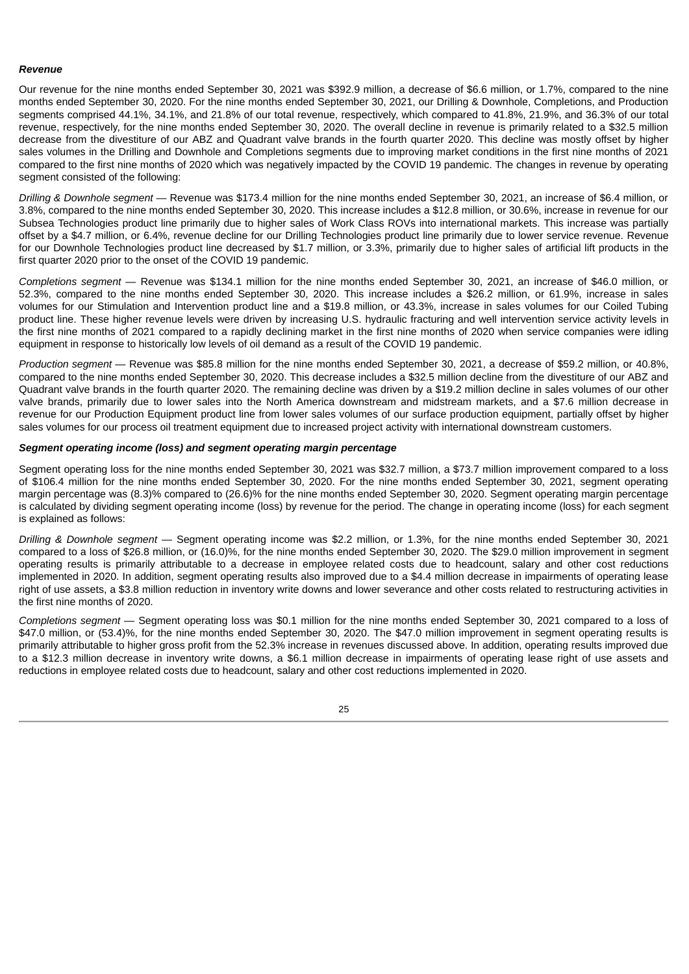#### *Revenue*

Our revenue for the nine months ended September 30, 2021 was \$392.9 million, a decrease of \$6.6 million, or 1.7%, compared to the nine months ended September 30, 2020. For the nine months ended September 30, 2021, our Drilling & Downhole, Completions, and Production segments comprised 44.1%, 34.1%, and 21.8% of our total revenue, respectively, which compared to 41.8%, 21.9%, and 36.3% of our total revenue, respectively, for the nine months ended September 30, 2020. The overall decline in revenue is primarily related to a \$32.5 million decrease from the divestiture of our ABZ and Quadrant valve brands in the fourth quarter 2020. This decline was mostly offset by higher sales volumes in the Drilling and Downhole and Completions segments due to improving market conditions in the first nine months of 2021 compared to the first nine months of 2020 which was negatively impacted by the COVID 19 pandemic. The changes in revenue by operating segment consisted of the following:

*Drilling & Downhole segment* — Revenue was \$173.4 million for the nine months ended September 30, 2021, an increase of \$6.4 million, or 3.8%, compared to the nine months ended September 30, 2020. This increase includes a \$12.8 million, or 30.6%, increase in revenue for our Subsea Technologies product line primarily due to higher sales of Work Class ROVs into international markets. This increase was partially offset by a \$4.7 million, or 6.4%, revenue decline for our Drilling Technologies product line primarily due to lower service revenue. Revenue for our Downhole Technologies product line decreased by \$1.7 million, or 3.3%, primarily due to higher sales of artificial lift products in the first quarter 2020 prior to the onset of the COVID 19 pandemic.

*Completions segment* — Revenue was \$134.1 million for the nine months ended September 30, 2021, an increase of \$46.0 million, or 52.3%, compared to the nine months ended September 30, 2020. This increase includes a \$26.2 million, or 61.9%, increase in sales volumes for our Stimulation and Intervention product line and a \$19.8 million, or 43.3%, increase in sales volumes for our Coiled Tubing product line. These higher revenue levels were driven by increasing U.S. hydraulic fracturing and well intervention service activity levels in the first nine months of 2021 compared to a rapidly declining market in the first nine months of 2020 when service companies were idling equipment in response to historically low levels of oil demand as a result of the COVID 19 pandemic.

*Production segment* — Revenue was \$85.8 million for the nine months ended September 30, 2021, a decrease of \$59.2 million, or 40.8%, compared to the nine months ended September 30, 2020. This decrease includes a \$32.5 million decline from the divestiture of our ABZ and Quadrant valve brands in the fourth quarter 2020. The remaining decline was driven by a \$19.2 million decline in sales volumes of our other valve brands, primarily due to lower sales into the North America downstream and midstream markets, and a \$7.6 million decrease in revenue for our Production Equipment product line from lower sales volumes of our surface production equipment, partially offset by higher sales volumes for our process oil treatment equipment due to increased project activity with international downstream customers.

### *Segment operating income (loss) and segment operating margin percentage*

Segment operating loss for the nine months ended September 30, 2021 was \$32.7 million, a \$73.7 million improvement compared to a loss of \$106.4 million for the nine months ended September 30, 2020. For the nine months ended September 30, 2021, segment operating margin percentage was (8.3)% compared to (26.6)% for the nine months ended September 30, 2020. Segment operating margin percentage is calculated by dividing segment operating income (loss) by revenue for the period. The change in operating income (loss) for each segment is explained as follows:

*Drilling & Downhole segment* — Segment operating income was \$2.2 million, or 1.3%, for the nine months ended September 30, 2021 compared to a loss of \$26.8 million, or (16.0)%, for the nine months ended September 30, 2020. The \$29.0 million improvement in segment operating results is primarily attributable to a decrease in employee related costs due to headcount, salary and other cost reductions implemented in 2020. In addition, segment operating results also improved due to a \$4.4 million decrease in impairments of operating lease right of use assets, a \$3.8 million reduction in inventory write downs and lower severance and other costs related to restructuring activities in the first nine months of 2020.

*Completions segment* — Segment operating loss was \$0.1 million for the nine months ended September 30, 2021 compared to a loss of \$47.0 million, or (53.4)%, for the nine months ended September 30, 2020. The \$47.0 million improvement in segment operating results is primarily attributable to higher gross profit from the 52.3% increase in revenues discussed above. In addition, operating results improved due to a \$12.3 million decrease in inventory write downs, a \$6.1 million decrease in impairments of operating lease right of use assets and reductions in employee related costs due to headcount, salary and other cost reductions implemented in 2020.

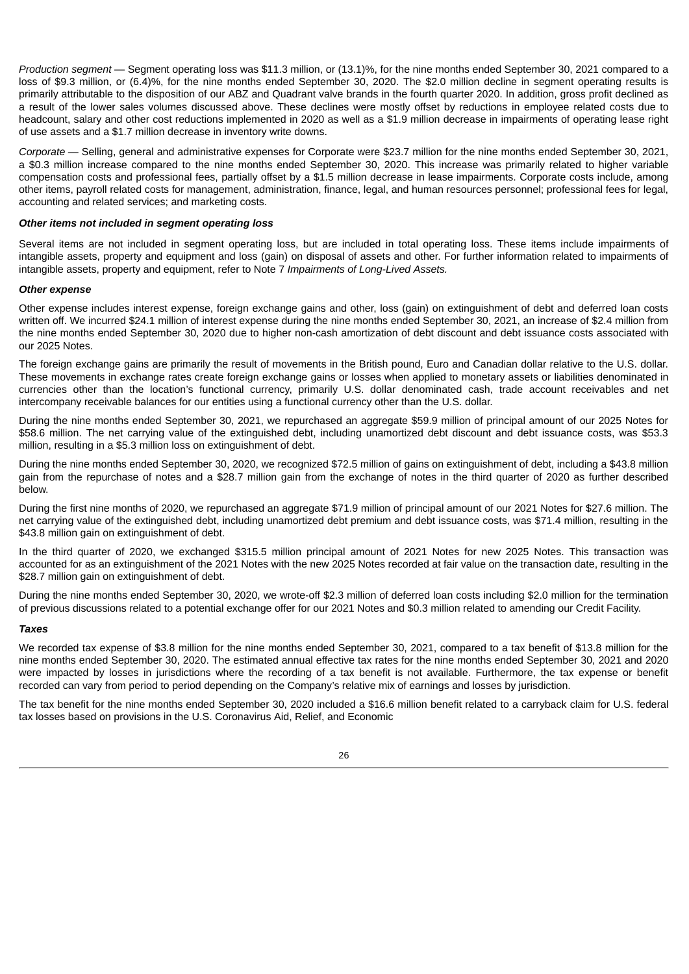*Production segment* — Segment operating loss was \$11.3 million, or (13.1)%, for the nine months ended September 30, 2021 compared to a loss of \$9.3 million, or (6.4)%, for the nine months ended September 30, 2020. The \$2.0 million decline in segment operating results is primarily attributable to the disposition of our ABZ and Quadrant valve brands in the fourth quarter 2020. In addition, gross profit declined as a result of the lower sales volumes discussed above. These declines were mostly offset by reductions in employee related costs due to headcount, salary and other cost reductions implemented in 2020 as well as a \$1.9 million decrease in impairments of operating lease right of use assets and a \$1.7 million decrease in inventory write downs.

*Corporate* — Selling, general and administrative expenses for Corporate were \$23.7 million for the nine months ended September 30, 2021, a \$0.3 million increase compared to the nine months ended September 30, 2020. This increase was primarily related to higher variable compensation costs and professional fees, partially offset by a \$1.5 million decrease in lease impairments. Corporate costs include, among other items, payroll related costs for management, administration, finance, legal, and human resources personnel; professional fees for legal, accounting and related services; and marketing costs.

### *Other items not included in segment operating loss*

Several items are not included in segment operating loss, but are included in total operating loss. These items include impairments of intangible assets, property and equipment and loss (gain) on disposal of assets and other. For further information related to impairments of intangible assets, property and equipment, refer to Note 7 *Impairments of Long-Lived Assets.*

#### *Other expense*

Other expense includes interest expense, foreign exchange gains and other, loss (gain) on extinguishment of debt and deferred loan costs written off. We incurred \$24.1 million of interest expense during the nine months ended September 30, 2021, an increase of \$2.4 million from the nine months ended September 30, 2020 due to higher non-cash amortization of debt discount and debt issuance costs associated with our 2025 Notes.

The foreign exchange gains are primarily the result of movements in the British pound, Euro and Canadian dollar relative to the U.S. dollar. These movements in exchange rates create foreign exchange gains or losses when applied to monetary assets or liabilities denominated in currencies other than the location's functional currency, primarily U.S. dollar denominated cash, trade account receivables and net intercompany receivable balances for our entities using a functional currency other than the U.S. dollar.

During the nine months ended September 30, 2021, we repurchased an aggregate \$59.9 million of principal amount of our 2025 Notes for \$58.6 million. The net carrying value of the extinguished debt, including unamortized debt discount and debt issuance costs, was \$53.3 million, resulting in a \$5.3 million loss on extinguishment of debt.

During the nine months ended September 30, 2020, we recognized \$72.5 million of gains on extinguishment of debt, including a \$43.8 million gain from the repurchase of notes and a \$28.7 million gain from the exchange of notes in the third quarter of 2020 as further described below.

During the first nine months of 2020, we repurchased an aggregate \$71.9 million of principal amount of our 2021 Notes for \$27.6 million. The net carrying value of the extinguished debt, including unamortized debt premium and debt issuance costs, was \$71.4 million, resulting in the \$43.8 million gain on extinguishment of debt.

In the third quarter of 2020, we exchanged \$315.5 million principal amount of 2021 Notes for new 2025 Notes. This transaction was accounted for as an extinguishment of the 2021 Notes with the new 2025 Notes recorded at fair value on the transaction date, resulting in the \$28.7 million gain on extinguishment of debt.

During the nine months ended September 30, 2020, we wrote-off \$2.3 million of deferred loan costs including \$2.0 million for the termination of previous discussions related to a potential exchange offer for our 2021 Notes and \$0.3 million related to amending our Credit Facility.

#### *Taxes*

We recorded tax expense of \$3.8 million for the nine months ended September 30, 2021, compared to a tax benefit of \$13.8 million for the nine months ended September 30, 2020. The estimated annual effective tax rates for the nine months ended September 30, 2021 and 2020 were impacted by losses in jurisdictions where the recording of a tax benefit is not available. Furthermore, the tax expense or benefit recorded can vary from period to period depending on the Company's relative mix of earnings and losses by jurisdiction.

The tax benefit for the nine months ended September 30, 2020 included a \$16.6 million benefit related to a carryback claim for U.S. federal tax losses based on provisions in the U.S. Coronavirus Aid, Relief, and Economic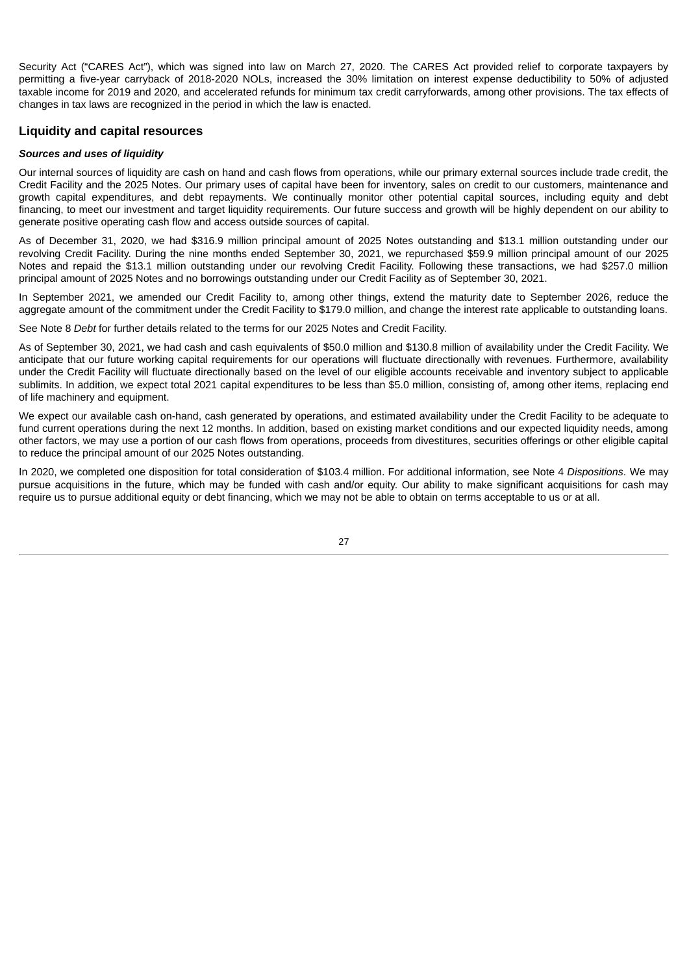Security Act ("CARES Act"), which was signed into law on March 27, 2020. The CARES Act provided relief to corporate taxpayers by permitting a five-year carryback of 2018-2020 NOLs, increased the 30% limitation on interest expense deductibility to 50% of adjusted taxable income for 2019 and 2020, and accelerated refunds for minimum tax credit carryforwards, among other provisions. The tax effects of changes in tax laws are recognized in the period in which the law is enacted.

### **Liquidity and capital resources**

### *Sources and uses of liquidity*

Our internal sources of liquidity are cash on hand and cash flows from operations, while our primary external sources include trade credit, the Credit Facility and the 2025 Notes. Our primary uses of capital have been for inventory, sales on credit to our customers, maintenance and growth capital expenditures, and debt repayments. We continually monitor other potential capital sources, including equity and debt financing, to meet our investment and target liquidity requirements. Our future success and growth will be highly dependent on our ability to generate positive operating cash flow and access outside sources of capital.

As of December 31, 2020, we had \$316.9 million principal amount of 2025 Notes outstanding and \$13.1 million outstanding under our revolving Credit Facility. During the nine months ended September 30, 2021, we repurchased \$59.9 million principal amount of our 2025 Notes and repaid the \$13.1 million outstanding under our revolving Credit Facility. Following these transactions, we had \$257.0 million principal amount of 2025 Notes and no borrowings outstanding under our Credit Facility as of September 30, 2021.

In September 2021, we amended our Credit Facility to, among other things, extend the maturity date to September 2026, reduce the aggregate amount of the commitment under the Credit Facility to \$179.0 million, and change the interest rate applicable to outstanding loans.

See Note 8 *Debt* for further details related to the terms for our 2025 Notes and Credit Facility.

As of September 30, 2021, we had cash and cash equivalents of \$50.0 million and \$130.8 million of availability under the Credit Facility. We anticipate that our future working capital requirements for our operations will fluctuate directionally with revenues. Furthermore, availability under the Credit Facility will fluctuate directionally based on the level of our eligible accounts receivable and inventory subject to applicable sublimits. In addition, we expect total 2021 capital expenditures to be less than \$5.0 million, consisting of, among other items, replacing end of life machinery and equipment.

We expect our available cash on-hand, cash generated by operations, and estimated availability under the Credit Facility to be adequate to fund current operations during the next 12 months. In addition, based on existing market conditions and our expected liquidity needs, among other factors, we may use a portion of our cash flows from operations, proceeds from divestitures, securities offerings or other eligible capital to reduce the principal amount of our 2025 Notes outstanding.

In 2020, we completed one disposition for total consideration of \$103.4 million. For additional information, see Note 4 *Dispositions*. We may pursue acquisitions in the future, which may be funded with cash and/or equity. Our ability to make significant acquisitions for cash may require us to pursue additional equity or debt financing, which we may not be able to obtain on terms acceptable to us or at all.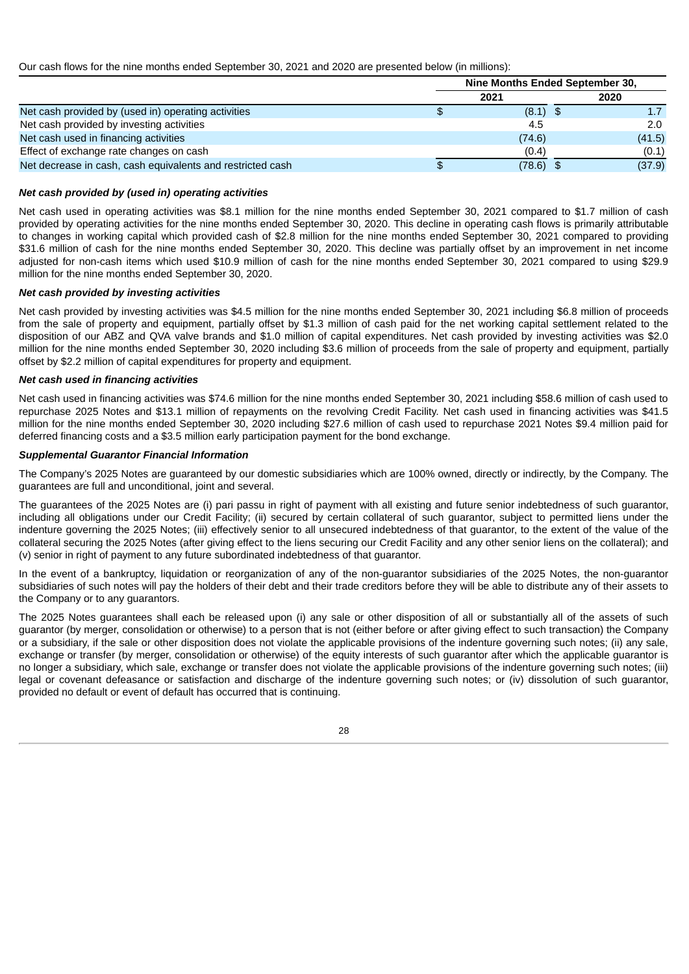Our cash flows for the nine months ended September 30, 2021 and 2020 are presented below (in millions):

|                                                            | Nine Months Ended September 30, |             |        |  |
|------------------------------------------------------------|---------------------------------|-------------|--------|--|
|                                                            |                                 | 2021        | 2020   |  |
| Net cash provided by (used in) operating activities        |                                 | $(8.1)$ \$  |        |  |
| Net cash provided by investing activities                  |                                 | 4.5         | 2.0    |  |
| Net cash used in financing activities                      |                                 | (74.6)      | (41.5) |  |
| Effect of exchange rate changes on cash                    |                                 | (0.4)       | (0.1)  |  |
| Net decrease in cash, cash equivalents and restricted cash | Ф                               | $(78.6)$ \$ | (37.9) |  |

### *Net cash provided by (used in) operating activities*

Net cash used in operating activities was \$8.1 million for the nine months ended September 30, 2021 compared to \$1.7 million of cash provided by operating activities for the nine months ended September 30, 2020. This decline in operating cash flows is primarily attributable to changes in working capital which provided cash of \$2.8 million for the nine months ended September 30, 2021 compared to providing \$31.6 million of cash for the nine months ended September 30, 2020. This decline was partially offset by an improvement in net income adjusted for non-cash items which used \$10.9 million of cash for the nine months ended September 30, 2021 compared to using \$29.9 million for the nine months ended September 30, 2020.

#### *Net cash provided by investing activities*

Net cash provided by investing activities was \$4.5 million for the nine months ended September 30, 2021 including \$6.8 million of proceeds from the sale of property and equipment, partially offset by \$1.3 million of cash paid for the net working capital settlement related to the disposition of our ABZ and QVA valve brands and \$1.0 million of capital expenditures. Net cash provided by investing activities was \$2.0 million for the nine months ended September 30, 2020 including \$3.6 million of proceeds from the sale of property and equipment, partially offset by \$2.2 million of capital expenditures for property and equipment.

### *Net cash used in financing activities*

Net cash used in financing activities was \$74.6 million for the nine months ended September 30, 2021 including \$58.6 million of cash used to repurchase 2025 Notes and \$13.1 million of repayments on the revolving Credit Facility. Net cash used in financing activities was \$41.5 million for the nine months ended September 30, 2020 including \$27.6 million of cash used to repurchase 2021 Notes \$9.4 million paid for deferred financing costs and a \$3.5 million early participation payment for the bond exchange.

#### *Supplemental Guarantor Financial Information*

The Company's 2025 Notes are guaranteed by our domestic subsidiaries which are 100% owned, directly or indirectly, by the Company. The guarantees are full and unconditional, joint and several.

The guarantees of the 2025 Notes are (i) pari passu in right of payment with all existing and future senior indebtedness of such guarantor, including all obligations under our Credit Facility; (ii) secured by certain collateral of such guarantor, subject to permitted liens under the indenture governing the 2025 Notes; (iii) effectively senior to all unsecured indebtedness of that guarantor, to the extent of the value of the collateral securing the 2025 Notes (after giving effect to the liens securing our Credit Facility and any other senior liens on the collateral); and (v) senior in right of payment to any future subordinated indebtedness of that guarantor.

In the event of a bankruptcy, liquidation or reorganization of any of the non-guarantor subsidiaries of the 2025 Notes, the non-guarantor subsidiaries of such notes will pay the holders of their debt and their trade creditors before they will be able to distribute any of their assets to the Company or to any guarantors.

The 2025 Notes guarantees shall each be released upon (i) any sale or other disposition of all or substantially all of the assets of such guarantor (by merger, consolidation or otherwise) to a person that is not (either before or after giving effect to such transaction) the Company or a subsidiary, if the sale or other disposition does not violate the applicable provisions of the indenture governing such notes; (ii) any sale, exchange or transfer (by merger, consolidation or otherwise) of the equity interests of such guarantor after which the applicable guarantor is no longer a subsidiary, which sale, exchange or transfer does not violate the applicable provisions of the indenture governing such notes; (iii) legal or covenant defeasance or satisfaction and discharge of the indenture governing such notes; or (iv) dissolution of such guarantor, provided no default or event of default has occurred that is continuing.

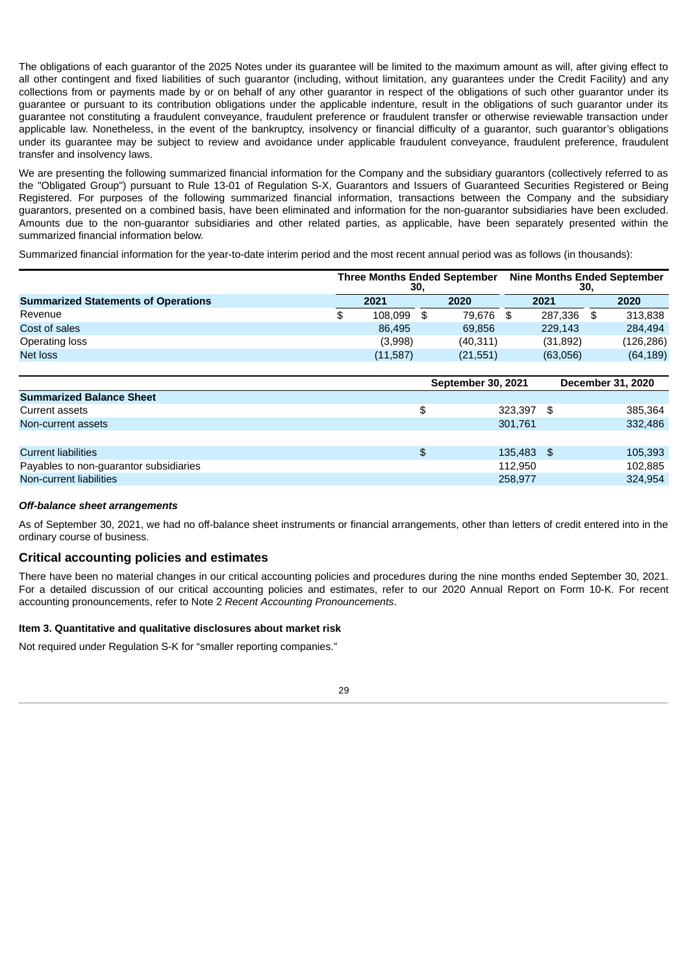The obligations of each guarantor of the 2025 Notes under its guarantee will be limited to the maximum amount as will, after giving effect to all other contingent and fixed liabilities of such guarantor (including, without limitation, any guarantees under the Credit Facility) and any collections from or payments made by or on behalf of any other guarantor in respect of the obligations of such other guarantor under its guarantee or pursuant to its contribution obligations under the applicable indenture, result in the obligations of such guarantor under its guarantee not constituting a fraudulent conveyance, fraudulent preference or fraudulent transfer or otherwise reviewable transaction under applicable law. Nonetheless, in the event of the bankruptcy, insolvency or financial difficulty of a guarantor, such guarantor's obligations under its guarantee may be subject to review and avoidance under applicable fraudulent conveyance, fraudulent preference, fraudulent transfer and insolvency laws.

We are presenting the following summarized financial information for the Company and the subsidiary guarantors (collectively referred to as the "Obligated Group") pursuant to Rule 13-01 of Regulation S-X, Guarantors and Issuers of Guaranteed Securities Registered or Being Registered. For purposes of the following summarized financial information, transactions between the Company and the subsidiary guarantors, presented on a combined basis, have been eliminated and information for the non-guarantor subsidiaries have been excluded. Amounts due to the non-guarantor subsidiaries and other related parties, as applicable, have been separately presented within the summarized financial information below.

Summarized financial information for the year-to-date interim period and the most recent annual period was as follows (in thousands):

|                                            |   | <b>Three Months Ended September</b><br>30. |                           |           |      | <b>Nine Months Ended September</b><br>30. |                   |            |  |
|--------------------------------------------|---|--------------------------------------------|---------------------------|-----------|------|-------------------------------------------|-------------------|------------|--|
| <b>Summarized Statements of Operations</b> |   | 2021                                       |                           | 2020      |      | 2021                                      |                   | 2020       |  |
| Revenue                                    | œ | 108.099                                    | - \$                      | 79.676    | - \$ | 287,336                                   | \$                | 313.838    |  |
| Cost of sales                              |   | 86.495                                     |                           | 69.856    |      | 229.143                                   |                   | 284.494    |  |
| Operating loss                             |   | (3,998)                                    |                           | (40, 311) |      | (31,892)                                  |                   | (126, 286) |  |
| Net loss                                   |   | (11,587)                                   |                           | (21,551)  |      | (63,056)                                  |                   | (64, 189)  |  |
|                                            |   |                                            |                           |           |      |                                           |                   |            |  |
|                                            |   |                                            | <b>September 30, 2021</b> |           |      |                                           | December 31, 2020 |            |  |

|                                        | _ _ _ _ _ _ _ _ _ _ _ _ _ _ _ _ _ |            |         |
|----------------------------------------|-----------------------------------|------------|---------|
| <b>Summarized Balance Sheet</b>        |                                   |            |         |
| Current assets                         | \$                                | 323,397 \$ | 385.364 |
| Non-current assets                     |                                   | 301.761    | 332,486 |
|                                        |                                   |            |         |
| <b>Current liabilities</b>             | \$                                | 135,483 \$ | 105,393 |
| Payables to non-guarantor subsidiaries |                                   | 112.950    | 102,885 |
| Non-current liabilities                |                                   | 258,977    | 324.954 |

#### *Off-balance sheet arrangements*

As of September 30, 2021, we had no off-balance sheet instruments or financial arrangements, other than letters of credit entered into in the ordinary course of business.

### **Critical accounting policies and estimates**

There have been no material changes in our critical accounting policies and procedures during the nine months ended September 30, 2021. For a detailed discussion of our critical accounting policies and estimates, refer to our 2020 Annual Report on Form 10-K. For recent accounting pronouncements, refer to Note 2 *Recent Accounting Pronouncements*.

#### <span id="page-28-0"></span>**Item 3. Quantitative and qualitative disclosures about market risk**

<span id="page-28-1"></span>Not required under Regulation S-K for "smaller reporting companies."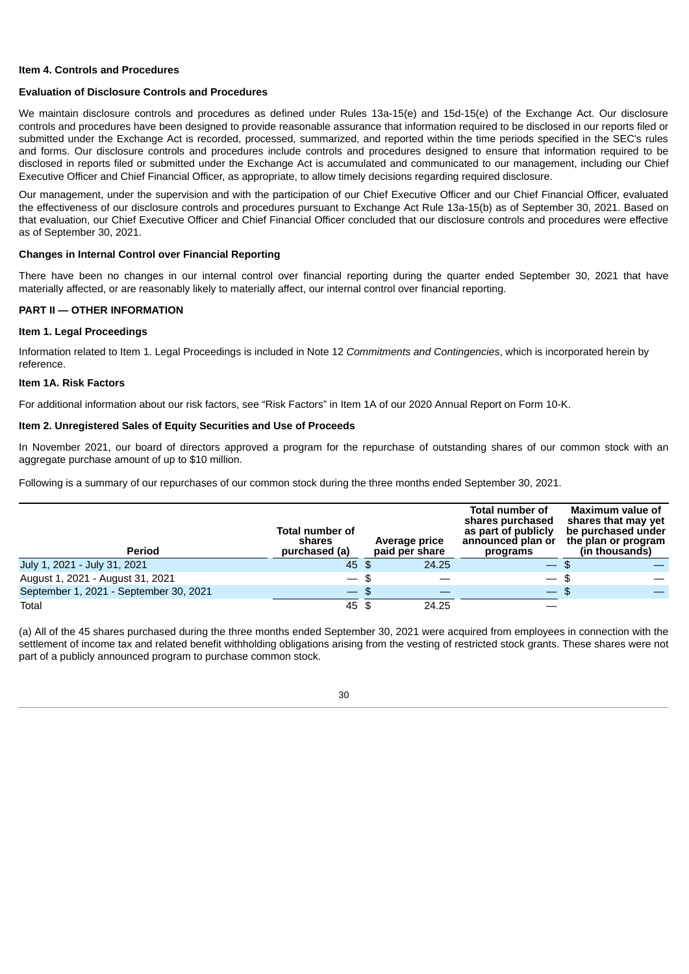#### **Item 4. Controls and Procedures**

#### **Evaluation of Disclosure Controls and Procedures**

We maintain disclosure controls and procedures as defined under Rules 13a-15(e) and 15d-15(e) of the Exchange Act. Our disclosure controls and procedures have been designed to provide reasonable assurance that information required to be disclosed in our reports filed or submitted under the Exchange Act is recorded, processed, summarized, and reported within the time periods specified in the SEC's rules and forms. Our disclosure controls and procedures include controls and procedures designed to ensure that information required to be disclosed in reports filed or submitted under the Exchange Act is accumulated and communicated to our management, including our Chief Executive Officer and Chief Financial Officer, as appropriate, to allow timely decisions regarding required disclosure.

Our management, under the supervision and with the participation of our Chief Executive Officer and our Chief Financial Officer, evaluated the effectiveness of our disclosure controls and procedures pursuant to Exchange Act Rule 13a-15(b) as of September 30, 2021. Based on that evaluation, our Chief Executive Officer and Chief Financial Officer concluded that our disclosure controls and procedures were effective as of September 30, 2021.

#### **Changes in Internal Control over Financial Reporting**

There have been no changes in our internal control over financial reporting during the quarter ended September 30, 2021 that have materially affected, or are reasonably likely to materially affect, our internal control over financial reporting.

#### <span id="page-29-0"></span>**PART II — OTHER INFORMATION**

#### <span id="page-29-1"></span>**Item 1. Legal Proceedings**

Information related to Item 1. Legal Proceedings is included in Note 12 *Commitments and Contingencies*, which is incorporated herein by reference.

### <span id="page-29-2"></span>**Item 1A. Risk Factors**

For additional information about our risk factors, see "Risk Factors" in Item 1A of our 2020 Annual Report on Form 10-K.

### <span id="page-29-3"></span>**Item 2. Unregistered Sales of Equity Securities and Use of Proceeds**

In November 2021, our board of directors approved a program for the repurchase of outstanding shares of our common stock with an aggregate purchase amount of up to \$10 million.

Following is a summary of our repurchases of our common stock during the three months ended September 30, 2021.

| <b>Period</b>                          | <b>Total number of</b><br>shares<br>purchased (a) | Average price<br>paid per share | <b>Total number of</b><br>shares purchased<br>as part of publicly<br>announced plan or<br>programs | <b>Maximum value of</b><br>shares that may yet<br>be purchased under<br>the plan or program<br>(in thousands) |
|----------------------------------------|---------------------------------------------------|---------------------------------|----------------------------------------------------------------------------------------------------|---------------------------------------------------------------------------------------------------------------|
| July 1, 2021 - July 31, 2021           | 45 \$                                             | 24.25                           | $-$ \$                                                                                             |                                                                                                               |
| August 1, 2021 - August 31, 2021       | $-$ \$                                            |                                 | $-$ \$                                                                                             |                                                                                                               |
| September 1, 2021 - September 30, 2021 | $-$ \$                                            |                                 | $-$ \$                                                                                             |                                                                                                               |
| Total                                  | 45 \$                                             | 24.25                           |                                                                                                    |                                                                                                               |

<span id="page-29-4"></span>(a) All of the 45 shares purchased during the three months ended September 30, 2021 were acquired from employees in connection with the settlement of income tax and related benefit withholding obligations arising from the vesting of restricted stock grants. These shares were not part of a publicly announced program to purchase common stock.

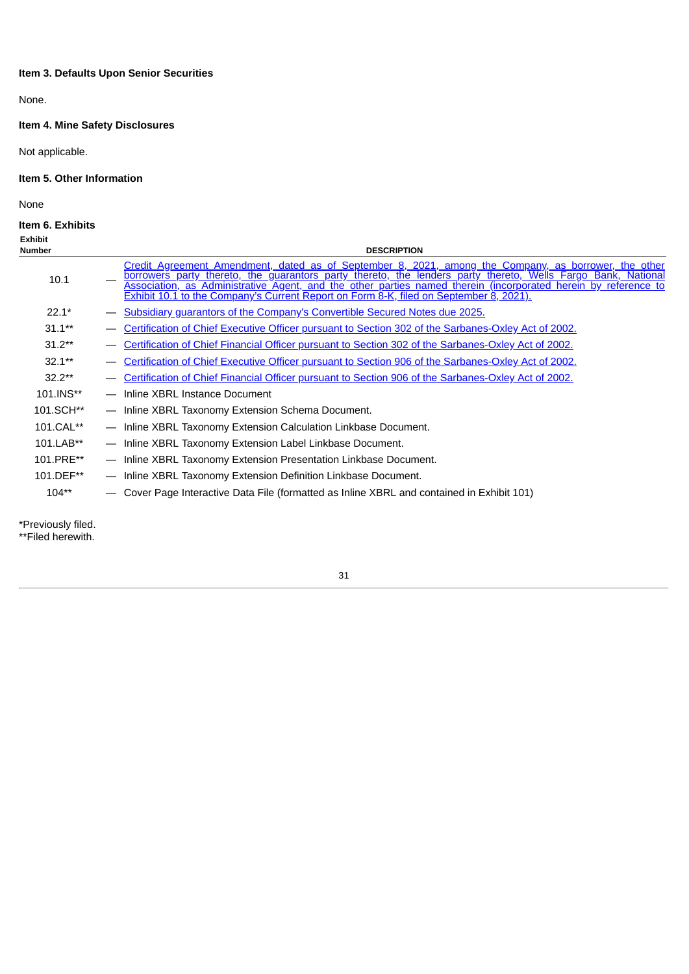# **Item 3. Defaults Upon Senior Securities**

None.

# <span id="page-30-0"></span>**Item 4. Mine Safety Disclosures**

Not applicable.

### <span id="page-30-1"></span>**Item 5. Other Information**

None

# <span id="page-30-2"></span>**Item 6. Exhibits Exhibit**

| Number    | <b>DESCRIPTION</b>                                                                                                                                                                                                                                                                                                                                                                                                                      |
|-----------|-----------------------------------------------------------------------------------------------------------------------------------------------------------------------------------------------------------------------------------------------------------------------------------------------------------------------------------------------------------------------------------------------------------------------------------------|
| 10.1      | Credit Agreement Amendment, dated as of September 8, 2021, among the Company, as borrower, the other<br><u>borrowers party thereto, the quarantors party thereto, the lenders party thereto, Wells Fargo Bank, National</u><br>Association, as Administrative Agent, and the other parties named therein (incorporated herein by reference to<br>Exhibit 10.1 to the Company's Current Report on Form 8-K, filed on September 8, 2021). |
| $22.1*$   | Subsidiary guarantors of the Company's Convertible Secured Notes due 2025.                                                                                                                                                                                                                                                                                                                                                              |
| $31.1**$  | Certification of Chief Executive Officer pursuant to Section 302 of the Sarbanes-Oxley Act of 2002.                                                                                                                                                                                                                                                                                                                                     |
| $31.2**$  | Certification of Chief Financial Officer pursuant to Section 302 of the Sarbanes-Oxley Act of 2002.                                                                                                                                                                                                                                                                                                                                     |
| $32.1**$  | Certification of Chief Executive Officer pursuant to Section 906 of the Sarbanes-Oxley Act of 2002.                                                                                                                                                                                                                                                                                                                                     |
| $32.2**$  | Certification of Chief Financial Officer pursuant to Section 906 of the Sarbanes-Oxley Act of 2002.                                                                                                                                                                                                                                                                                                                                     |
| 101.INS** | Inline XBRL Instance Document                                                                                                                                                                                                                                                                                                                                                                                                           |
| 101.SCH** | Inline XBRL Taxonomy Extension Schema Document.                                                                                                                                                                                                                                                                                                                                                                                         |
| 101.CAL** | - Inline XBRL Taxonomy Extension Calculation Linkbase Document.                                                                                                                                                                                                                                                                                                                                                                         |
| 101.LAB** | - Inline XBRL Taxonomy Extension Label Linkbase Document.                                                                                                                                                                                                                                                                                                                                                                               |
| 101.PRE** | Inline XBRL Taxonomy Extension Presentation Linkbase Document.<br>$\hspace{0.1mm}-\hspace{0.1mm}$                                                                                                                                                                                                                                                                                                                                       |
| 101.DEF** | - Inline XBRL Taxonomy Extension Definition Linkbase Document.                                                                                                                                                                                                                                                                                                                                                                          |
| $104**$   | Cover Page Interactive Data File (formatted as Inline XBRL and contained in Exhibit 101)                                                                                                                                                                                                                                                                                                                                                |
|           |                                                                                                                                                                                                                                                                                                                                                                                                                                         |

<span id="page-30-3"></span>\*Previously filed. \*\*Filed herewith.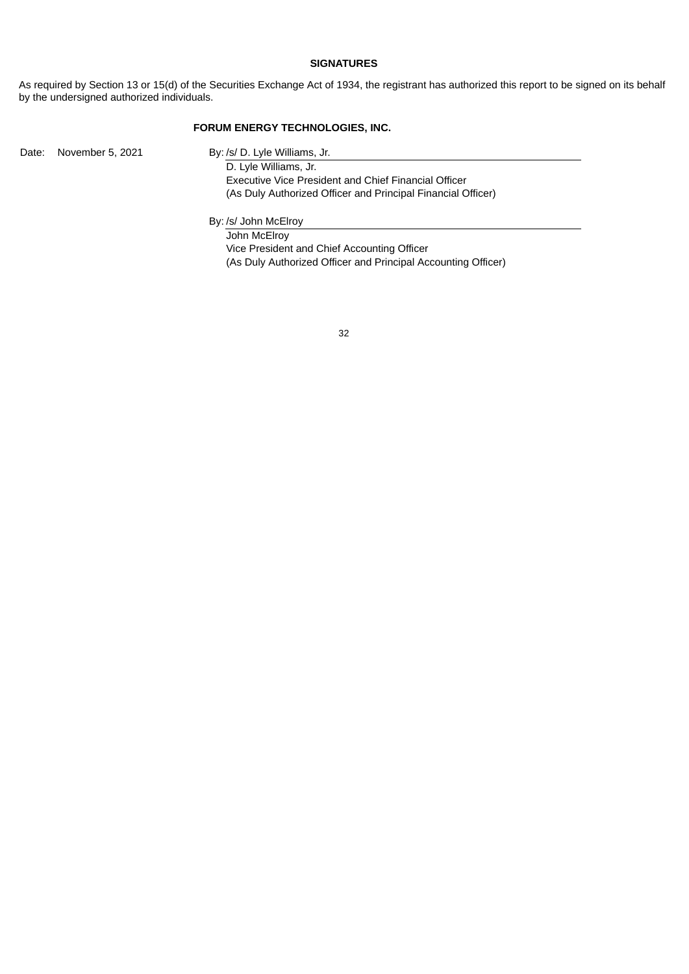#### **SIGNATURES**

As required by Section 13 or 15(d) of the Securities Exchange Act of 1934, the registrant has authorized this report to be signed on its behalf by the undersigned authorized individuals.

### **FORUM ENERGY TECHNOLOGIES, INC.**

Date: November 5, 2021 By: /s/ D. Lyle Williams, Jr.

D. Lyle Williams, Jr. Executive Vice President and Chief Financial Officer (As Duly Authorized Officer and Principal Financial Officer)

By: /s/ John McElroy

John McElroy Vice President and Chief Accounting Officer (As Duly Authorized Officer and Principal Accounting Officer)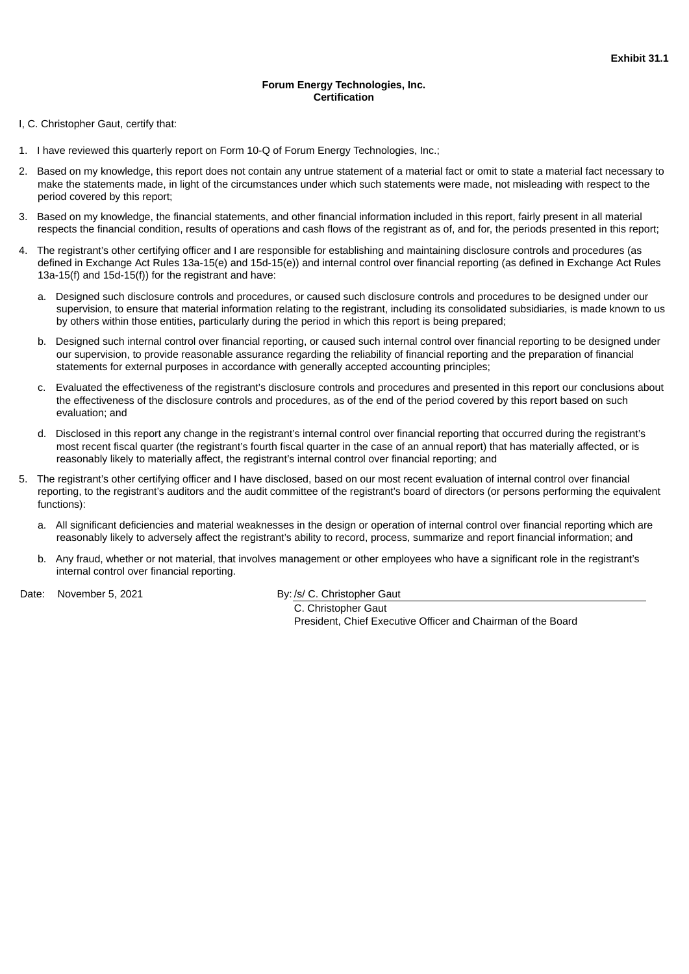### **Forum Energy Technologies, Inc. Certification**

<span id="page-32-0"></span>I, C. Christopher Gaut, certify that:

- 1. I have reviewed this quarterly report on Form 10-Q of Forum Energy Technologies, Inc.;
- 2. Based on my knowledge, this report does not contain any untrue statement of a material fact or omit to state a material fact necessary to make the statements made, in light of the circumstances under which such statements were made, not misleading with respect to the period covered by this report;
- 3. Based on my knowledge, the financial statements, and other financial information included in this report, fairly present in all material respects the financial condition, results of operations and cash flows of the registrant as of, and for, the periods presented in this report;
- 4. The registrant's other certifying officer and I are responsible for establishing and maintaining disclosure controls and procedures (as defined in Exchange Act Rules 13a-15(e) and 15d-15(e)) and internal control over financial reporting (as defined in Exchange Act Rules 13a-15(f) and 15d-15(f)) for the registrant and have:
	- a. Designed such disclosure controls and procedures, or caused such disclosure controls and procedures to be designed under our supervision, to ensure that material information relating to the registrant, including its consolidated subsidiaries, is made known to us by others within those entities, particularly during the period in which this report is being prepared;
	- b. Designed such internal control over financial reporting, or caused such internal control over financial reporting to be designed under our supervision, to provide reasonable assurance regarding the reliability of financial reporting and the preparation of financial statements for external purposes in accordance with generally accepted accounting principles;
	- c. Evaluated the effectiveness of the registrant's disclosure controls and procedures and presented in this report our conclusions about the effectiveness of the disclosure controls and procedures, as of the end of the period covered by this report based on such evaluation; and
	- d. Disclosed in this report any change in the registrant's internal control over financial reporting that occurred during the registrant's most recent fiscal quarter (the registrant's fourth fiscal quarter in the case of an annual report) that has materially affected, or is reasonably likely to materially affect, the registrant's internal control over financial reporting; and
- 5. The registrant's other certifying officer and I have disclosed, based on our most recent evaluation of internal control over financial reporting, to the registrant's auditors and the audit committee of the registrant's board of directors (or persons performing the equivalent functions):
	- a. All significant deficiencies and material weaknesses in the design or operation of internal control over financial reporting which are reasonably likely to adversely affect the registrant's ability to record, process, summarize and report financial information; and
	- b. Any fraud, whether or not material, that involves management or other employees who have a significant role in the registrant's internal control over financial reporting.

Date: November 5, 2021 By: /s/ C. Christopher Gaut

C. Christopher Gaut President, Chief Executive Officer and Chairman of the Board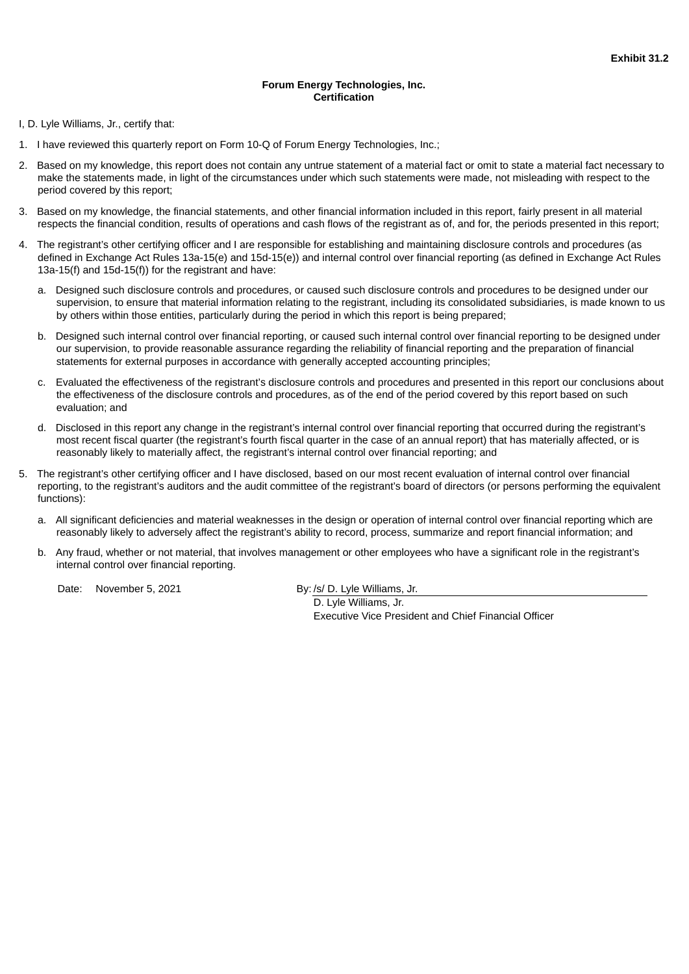### **Forum Energy Technologies, Inc. Certification**

<span id="page-33-0"></span>I, D. Lyle Williams, Jr., certify that:

- 1. I have reviewed this quarterly report on Form 10-Q of Forum Energy Technologies, Inc.;
- 2. Based on my knowledge, this report does not contain any untrue statement of a material fact or omit to state a material fact necessary to make the statements made, in light of the circumstances under which such statements were made, not misleading with respect to the period covered by this report;
- 3. Based on my knowledge, the financial statements, and other financial information included in this report, fairly present in all material respects the financial condition, results of operations and cash flows of the registrant as of, and for, the periods presented in this report;
- 4. The registrant's other certifying officer and I are responsible for establishing and maintaining disclosure controls and procedures (as defined in Exchange Act Rules 13a-15(e) and 15d-15(e)) and internal control over financial reporting (as defined in Exchange Act Rules 13a-15(f) and 15d-15(f)) for the registrant and have:
	- a. Designed such disclosure controls and procedures, or caused such disclosure controls and procedures to be designed under our supervision, to ensure that material information relating to the registrant, including its consolidated subsidiaries, is made known to us by others within those entities, particularly during the period in which this report is being prepared;
	- b. Designed such internal control over financial reporting, or caused such internal control over financial reporting to be designed under our supervision, to provide reasonable assurance regarding the reliability of financial reporting and the preparation of financial statements for external purposes in accordance with generally accepted accounting principles;
	- c. Evaluated the effectiveness of the registrant's disclosure controls and procedures and presented in this report our conclusions about the effectiveness of the disclosure controls and procedures, as of the end of the period covered by this report based on such evaluation; and
	- d. Disclosed in this report any change in the registrant's internal control over financial reporting that occurred during the registrant's most recent fiscal quarter (the registrant's fourth fiscal quarter in the case of an annual report) that has materially affected, or is reasonably likely to materially affect, the registrant's internal control over financial reporting; and
- 5. The registrant's other certifying officer and I have disclosed, based on our most recent evaluation of internal control over financial reporting, to the registrant's auditors and the audit committee of the registrant's board of directors (or persons performing the equivalent functions):
	- a. All significant deficiencies and material weaknesses in the design or operation of internal control over financial reporting which are reasonably likely to adversely affect the registrant's ability to record, process, summarize and report financial information; and
	- b. Any fraud, whether or not material, that involves management or other employees who have a significant role in the registrant's internal control over financial reporting.

Date: November 5, 2021 By: /s/ D. Lyle Williams, Jr.

D. Lyle Williams, Jr. Executive Vice President and Chief Financial Officer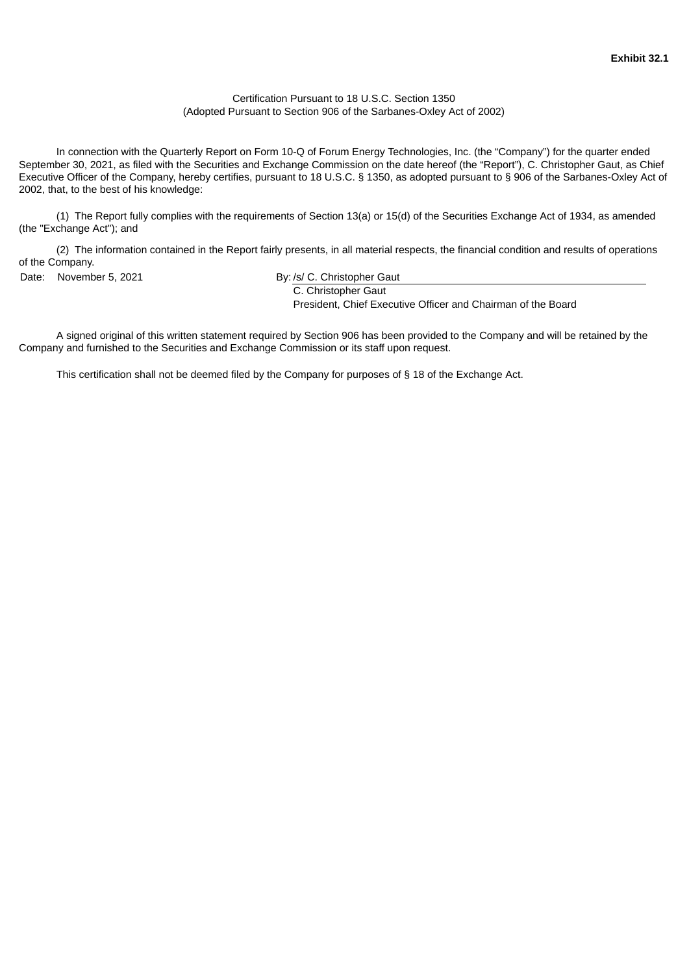### Certification Pursuant to 18 U.S.C. Section 1350 (Adopted Pursuant to Section 906 of the Sarbanes-Oxley Act of 2002)

<span id="page-34-0"></span>In connection with the Quarterly Report on Form 10-Q of Forum Energy Technologies, Inc. (the "Company") for the quarter ended September 30, 2021, as filed with the Securities and Exchange Commission on the date hereof (the "Report"), C. Christopher Gaut, as Chief Executive Officer of the Company, hereby certifies, pursuant to 18 U.S.C. § 1350, as adopted pursuant to § 906 of the Sarbanes-Oxley Act of 2002, that, to the best of his knowledge:

(1) The Report fully complies with the requirements of Section 13(a) or 15(d) of the Securities Exchange Act of 1934, as amended (the "Exchange Act"); and

(2) The information contained in the Report fairly presents, in all material respects, the financial condition and results of operations of the Company.

Date: November 5, 2021 By: /s/ C. Christopher Gaut C. Christopher Gaut

President, Chief Executive Officer and Chairman of the Board

A signed original of this written statement required by Section 906 has been provided to the Company and will be retained by the Company and furnished to the Securities and Exchange Commission or its staff upon request.

This certification shall not be deemed filed by the Company for purposes of § 18 of the Exchange Act.